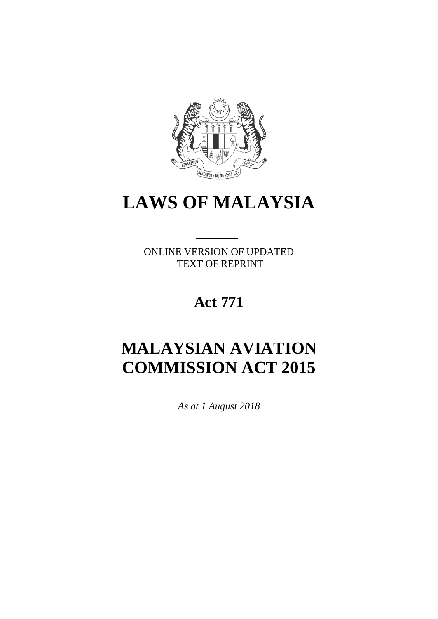

# **LAWS OF MALAYSIA**

ONLINE VERSION OF UPDATED TEXT OF REPRINT

# **Act 771**

# **MALAYSIAN AVIATION COMMISSION ACT 2015**

*As at 1 August 2018*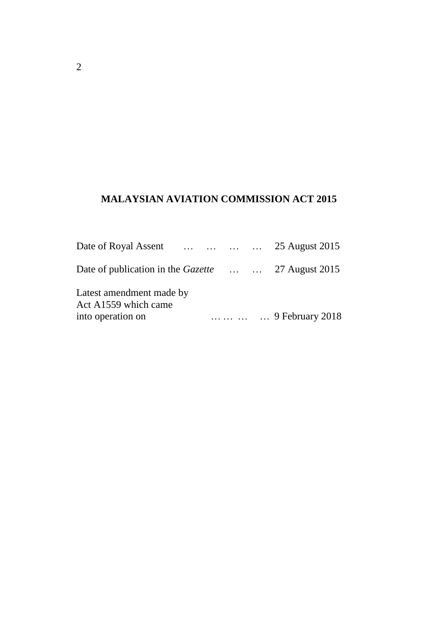# **MALAYSIAN AVIATION COMMISSION ACT 2015**

| Date of Royal Assent     25 August 2015                  |  |                 |
|----------------------------------------------------------|--|-----------------|
| Date of publication in the <i>Gazette</i> 27 August 2015 |  |                 |
| Latest amendment made by<br>Act A1559 which came         |  |                 |
| into operation on                                        |  | 9 February 2018 |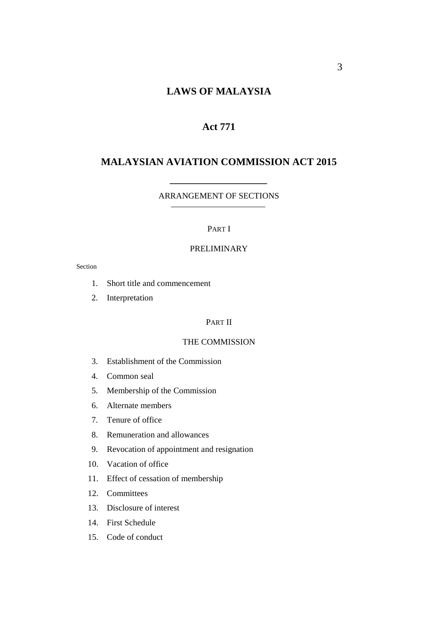# **LAWS OF MALAYSIA**

# **Act 771**

## **MALAYSIAN AVIATION COMMISSION ACT 2015**

#### ARRANGEMENT OF SECTIONS

## PART I

## PRELIMINARY

#### Section

- 1. Short title and commencement
- 2. Interpretation

## PART II

## THE COMMISSION

- 3. Establishment of the Commission
- 4. Common seal
- 5. Membership of the Commission
- 6. Alternate members
- 7. Tenure of office
- 8. Remuneration and allowances
- 9. Revocation of appointment and resignation
- 10. Vacation of office
- 11. Effect of cessation of membership
- 12. Committees
- 13. Disclosure of interest
- 14. First Schedule
- 15. Code of conduct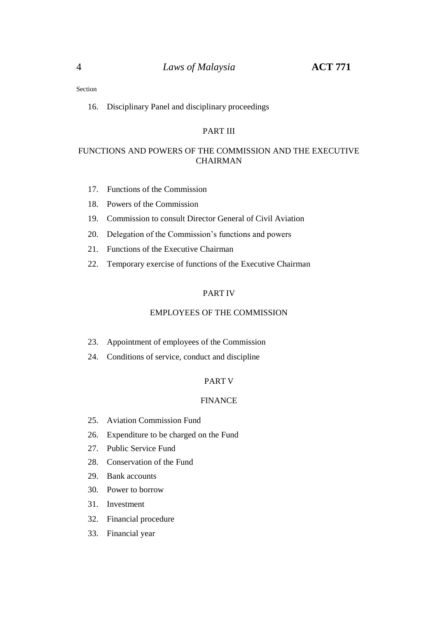16. Disciplinary Panel and disciplinary proceedings

## PART III

## FUNCTIONS AND POWERS OF THE COMMISSION AND THE EXECUTIVE CHAIRMAN

- 17. Functions of the Commission
- 18. Powers of the Commission
- 19. Commission to consult Director General of Civil Aviation
- 20. Delegation of the Commission's functions and powers
- 21. Functions of the Executive Chairman
- 22. Temporary exercise of functions of the Executive Chairman

#### PART IV

#### EMPLOYEES OF THE COMMISSION

- 23. Appointment of employees of the Commission
- 24. Conditions of service, conduct and discipline

#### PART V

## FINANCE

- 25. Aviation Commission Fund
- 26. Expenditure to be charged on the Fund
- 27. Public Service Fund
- 28. Conservation of the Fund
- 29. Bank accounts
- 30. Power to borrow
- 31. Investment
- 32. Financial procedure
- 33. Financial year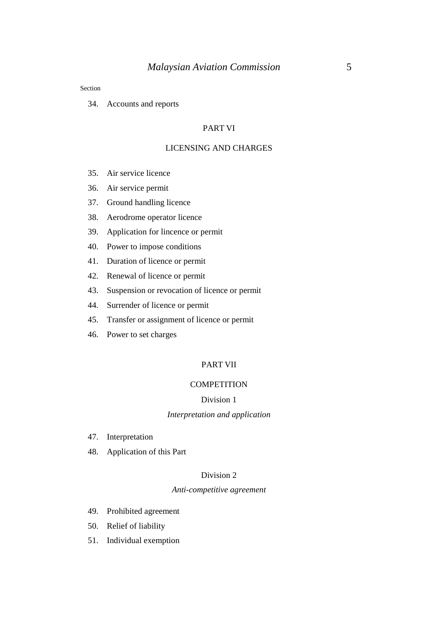34. Accounts and reports

#### PART VI

## LICENSING AND CHARGES

- 35. Air service licence
- 36. Air service permit
- 37. Ground handling licence
- 38. Aerodrome operator licence
- 39. Application for lincence or permit
- 40. Power to impose conditions
- 41. Duration of licence or permit
- 42. Renewal of licence or permit
- 43. Suspension or revocation of licence or permit
- 44. Surrender of licence or permit
- 45. Transfer or assignment of licence or permit
- 46. Power to set charges

## PART VII

#### **COMPETITION**

## Division 1

#### *Interpretation and application*

- 47. Interpretation
- 48. Application of this Part

#### Division 2

## *Anti-competitive agreement*

- 49. Prohibited agreement
- 50. Relief of liability
- 51. Individual exemption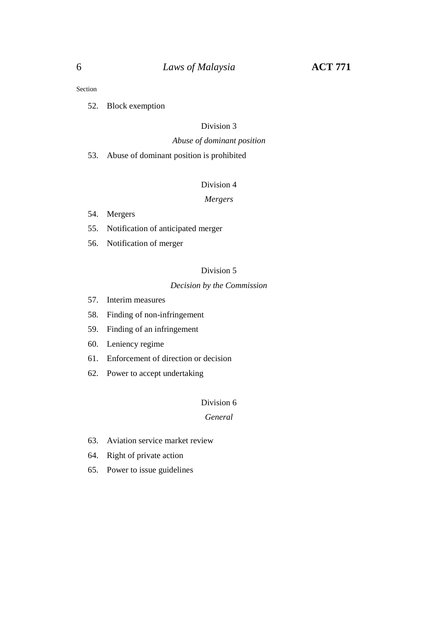52. Block exemption

### Division 3

#### *Abuse of dominant position*

53. Abuse of dominant position is prohibited

## Division 4

## *Mergers*

- 54. Mergers
- 55. Notification of anticipated merger
- 56. Notification of merger

## Division 5

#### *Decision by the Commission*

- 57. Interim measures
- 58. Finding of non-infringement
- 59. Finding of an infringement
- 60. Leniency regime
- 61. Enforcement of direction or decision
- 62. Power to accept undertaking

#### Division 6

## *General*

- 63. Aviation service market review
- 64. Right of private action
- 65. Power to issue guidelines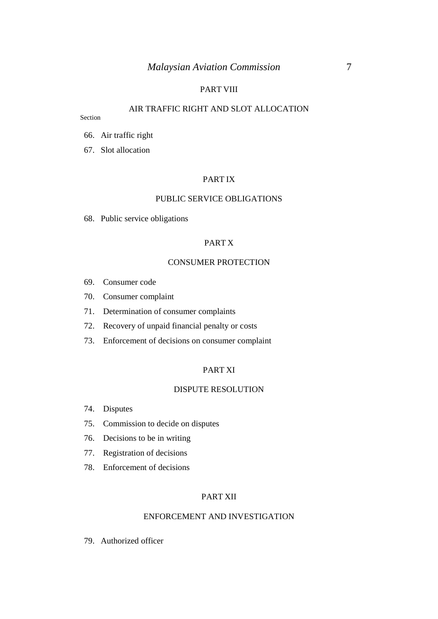## PART VIII

## AIR TRAFFIC RIGHT AND SLOT ALLOCATION

Section

- 66. Air traffic right
- 67. Slot allocation

### PART IX

#### PUBLIC SERVICE OBLIGATIONS

68. Public service obligations

#### PART X

#### CONSUMER PROTECTION

- 69. Consumer code
- 70. Consumer complaint
- 71. Determination of consumer complaints
- 72. Recovery of unpaid financial penalty or costs
- 73. Enforcement of decisions on consumer complaint

#### PART XI

#### DISPUTE RESOLUTION

- 74. Disputes
- 75. Commission to decide on disputes
- 76. Decisions to be in writing
- 77. Registration of decisions
- 78. Enforcement of decisions

#### PART XII

#### ENFORCEMENT AND INVESTIGATION

79. Authorized officer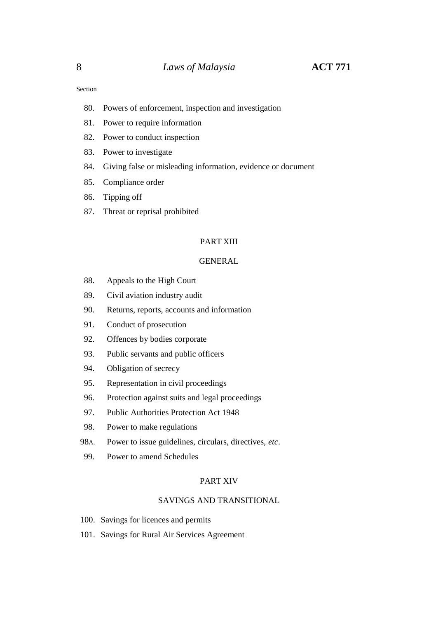- 80. Powers of enforcement, inspection and investigation
- 81. Power to require information
- 82. Power to conduct inspection
- 83. Power to investigate
- 84. Giving false or misleading information, evidence or document
- 85. Compliance order
- 86. Tipping off
- 87. Threat or reprisal prohibited

#### PART XIII

#### GENERAL

- 88. Appeals to the High Court
- 89. Civil aviation industry audit
- 90. Returns, reports, accounts and information
- 91. Conduct of prosecution
- 92. Offences by bodies corporate
- 93. Public servants and public officers
- 94. Obligation of secrecy
- 95. Representation in civil proceedings
- 96. Protection against suits and legal proceedings
- 97. Public Authorities Protection Act 1948
- 98. Power to make regulations
- 98A. Power to issue guidelines, circulars, directives, *etc*.
- 99. Power to amend Schedules

#### PART XIV

## SAVINGS AND TRANSITIONAL

- 100. Savings for licences and permits
- 101. Savings for Rural Air Services Agreement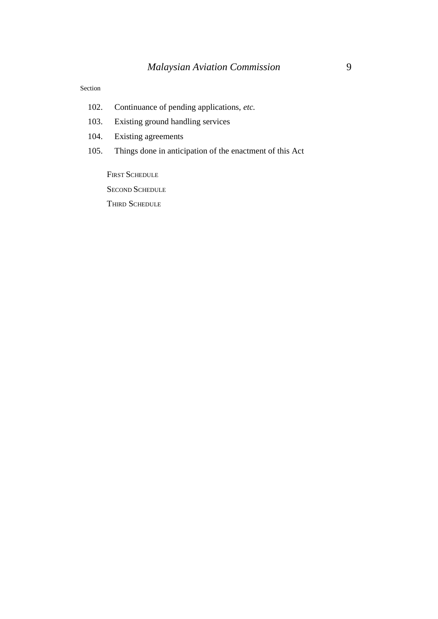- 102. Continuance of pending applications, *etc.*
- 103. Existing ground handling services
- 104. Existing agreements
- 105. Things done in anticipation of the enactment of this Act

FIRST SCHEDULE SECOND SCHEDULE THIRD SCHEDULE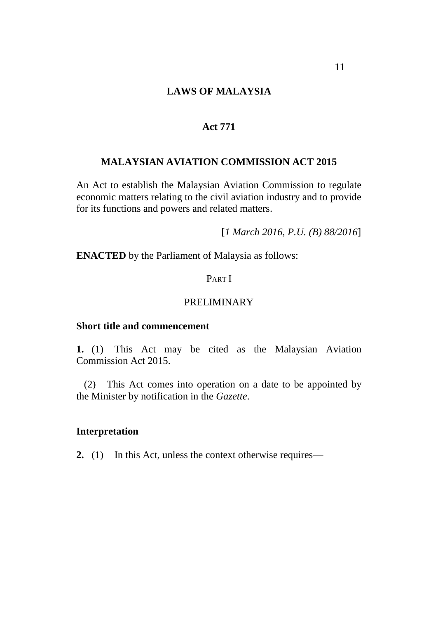# **LAWS OF MALAYSIA**

## **Act 771**

## **MALAYSIAN AVIATION COMMISSION ACT 2015**

An Act to establish the Malaysian Aviation Commission to regulate economic matters relating to the civil aviation industry and to provide for its functions and powers and related matters.

[*1 March 2016, P.U. (B) 88/2016*]

**ENACTED** by the Parliament of Malaysia as follows:

## PART I

## PRELIMINARY

## **Short title and commencement**

**1.** (1) This Act may be cited as the Malaysian Aviation Commission Act 2015.

(2) This Act comes into operation on a date to be appointed by the Minister by notification in the *Gazette*.

## **Interpretation**

**2.** (1) In this Act, unless the context otherwise requires—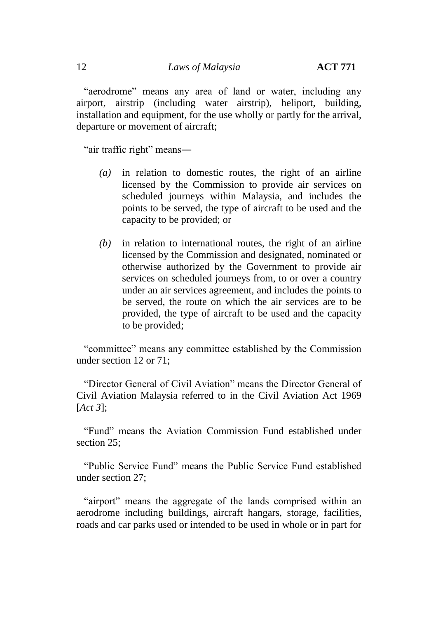"aerodrome" means any area of land or water, including any airport, airstrip (including water airstrip), heliport, building, installation and equipment, for the use wholly or partly for the arrival, departure or movement of aircraft;

"air traffic right" means―

- *(a)* in relation to domestic routes, the right of an airline licensed by the Commission to provide air services on scheduled journeys within Malaysia, and includes the points to be served, the type of aircraft to be used and the capacity to be provided; or
- *(b)* in relation to international routes, the right of an airline licensed by the Commission and designated, nominated or otherwise authorized by the Government to provide air services on scheduled journeys from, to or over a country under an air services agreement, and includes the points to be served, the route on which the air services are to be provided, the type of aircraft to be used and the capacity to be provided;

"committee" means any committee established by the Commission under section 12 or 71;

"Director General of Civil Aviation" means the Director General of Civil Aviation Malaysia referred to in the Civil Aviation Act 1969 [*Act 3*];

"Fund" means the Aviation Commission Fund established under section 25;

"Public Service Fund" means the Public Service Fund established under section 27;

"airport" means the aggregate of the lands comprised within an aerodrome including buildings, aircraft hangars, storage, facilities, roads and car parks used or intended to be used in whole or in part for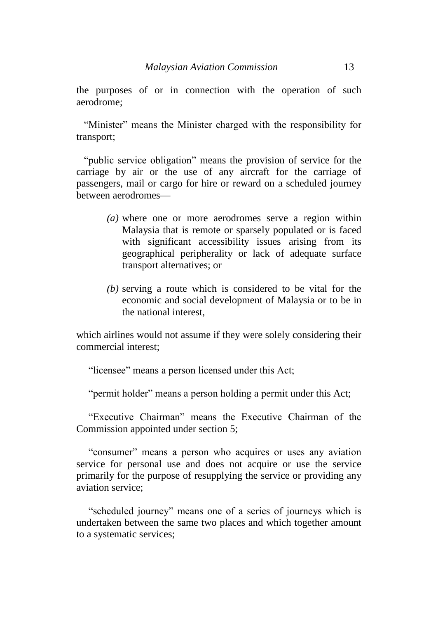the purposes of or in connection with the operation of such aerodrome;

"Minister" means the Minister charged with the responsibility for transport;

"public service obligation" means the provision of service for the carriage by air or the use of any aircraft for the carriage of passengers, mail or cargo for hire or reward on a scheduled journey between aerodromes—

- *(a)* where one or more aerodromes serve a region within Malaysia that is remote or sparsely populated or is faced with significant accessibility issues arising from its geographical peripherality or lack of adequate surface transport alternatives; or
- *(b)* serving a route which is considered to be vital for the economic and social development of Malaysia or to be in the national interest,

which airlines would not assume if they were solely considering their commercial interest;

"licensee" means a person licensed under this Act;

"permit holder" means a person holding a permit under this Act;

"Executive Chairman" means the Executive Chairman of the Commission appointed under section 5;

"consumer" means a person who acquires or uses any aviation service for personal use and does not acquire or use the service primarily for the purpose of resupplying the service or providing any aviation service;

"scheduled journey" means one of a series of journeys which is undertaken between the same two places and which together amount to a systematic services;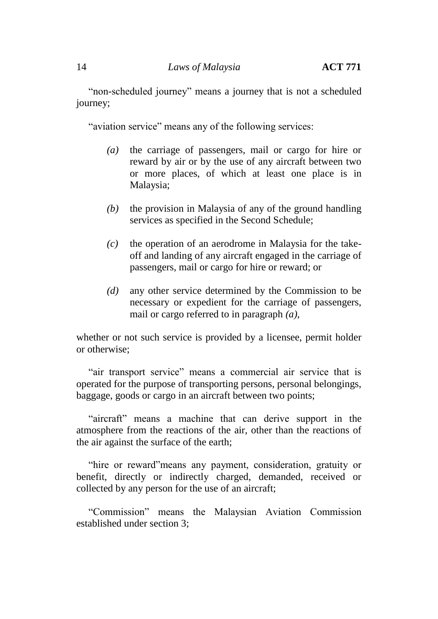"non-scheduled journey" means a journey that is not a scheduled journey;

"aviation service" means any of the following services:

- *(a)* the carriage of passengers, mail or cargo for hire or reward by air or by the use of any aircraft between two or more places, of which at least one place is in Malaysia;
- *(b)* the provision in Malaysia of any of the ground handling services as specified in the Second Schedule;
- *(c)* the operation of an aerodrome in Malaysia for the takeoff and landing of any aircraft engaged in the carriage of passengers, mail or cargo for hire or reward; or
- *(d)* any other service determined by the Commission to be necessary or expedient for the carriage of passengers, mail or cargo referred to in paragraph *(a)*,

whether or not such service is provided by a licensee, permit holder or otherwise;

"air transport service" means a commercial air service that is operated for the purpose of transporting persons, personal belongings, baggage, goods or cargo in an aircraft between two points;

"aircraft" means a machine that can derive support in the atmosphere from the reactions of the air, other than the reactions of the air against the surface of the earth;

"hire or reward"means any payment, consideration, gratuity or benefit, directly or indirectly charged, demanded, received or collected by any person for the use of an aircraft;

"Commission" means the Malaysian Aviation Commission established under section 3;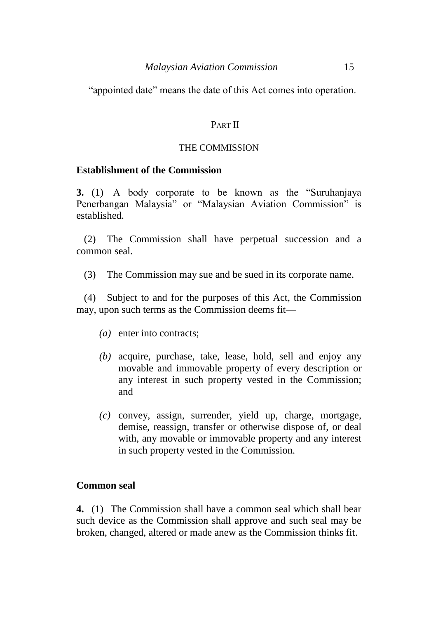"appointed date" means the date of this Act comes into operation.

# PART II

## THE COMMISSION

## **Establishment of the Commission**

**3.** (1) A body corporate to be known as the "Suruhanjaya Penerbangan Malaysia" or "Malaysian Aviation Commission" is established.

(2) The Commission shall have perpetual succession and a common seal.

(3) The Commission may sue and be sued in its corporate name.

(4) Subject to and for the purposes of this Act, the Commission may, upon such terms as the Commission deems fit—

- *(a)* enter into contracts;
- *(b)* acquire, purchase, take, lease, hold, sell and enjoy any movable and immovable property of every description or any interest in such property vested in the Commission; and
- *(c)* convey, assign, surrender, yield up, charge, mortgage, demise, reassign, transfer or otherwise dispose of, or deal with, any movable or immovable property and any interest in such property vested in the Commission.

## **Common seal**

**4.** (1) The Commission shall have a common seal which shall bear such device as the Commission shall approve and such seal may be broken, changed, altered or made anew as the Commission thinks fit.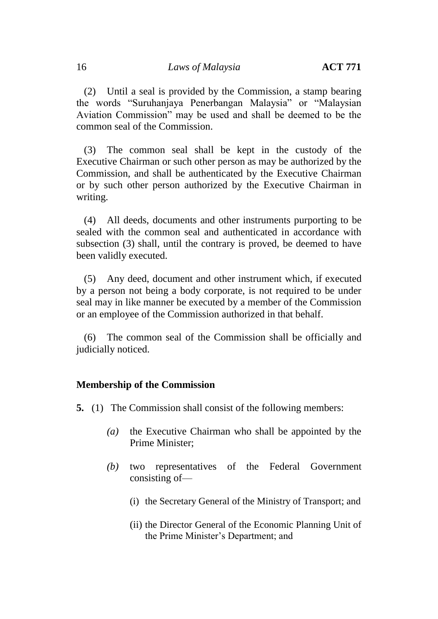(2) Until a seal is provided by the Commission, a stamp bearing the words "Suruhanjaya Penerbangan Malaysia" or "Malaysian Aviation Commission" may be used and shall be deemed to be the common seal of the Commission.

(3) The common seal shall be kept in the custody of the Executive Chairman or such other person as may be authorized by the Commission, and shall be authenticated by the Executive Chairman or by such other person authorized by the Executive Chairman in writing.

(4) All deeds, documents and other instruments purporting to be sealed with the common seal and authenticated in accordance with subsection (3) shall, until the contrary is proved, be deemed to have been validly executed.

(5) Any deed, document and other instrument which, if executed by a person not being a body corporate, is not required to be under seal may in like manner be executed by a member of the Commission or an employee of the Commission authorized in that behalf.

(6) The common seal of the Commission shall be officially and judicially noticed.

# **Membership of the Commission**

**5.** (1) The Commission shall consist of the following members:

- *(a)* the Executive Chairman who shall be appointed by the Prime Minister;
- *(b)* two representatives of the Federal Government consisting of—
	- (i) the Secretary General of the Ministry of Transport; and
	- (ii) the Director General of the Economic Planning Unit of the Prime Minister's Department; and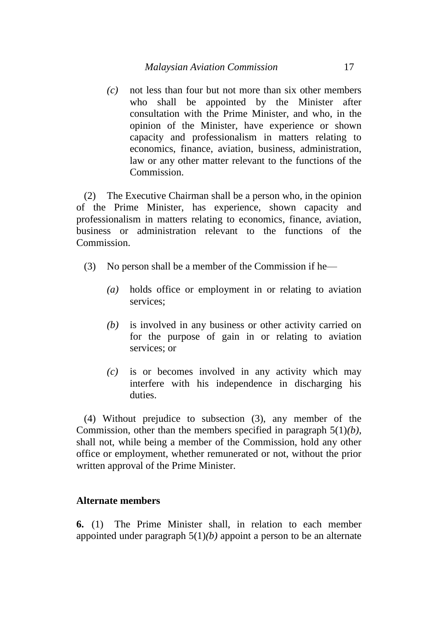*(c)* not less than four but not more than six other members who shall be appointed by the Minister after consultation with the Prime Minister, and who, in the opinion of the Minister, have experience or shown capacity and professionalism in matters relating to economics, finance, aviation, business, administration, law or any other matter relevant to the functions of the Commission.

(2) The Executive Chairman shall be a person who, in the opinion of the Prime Minister, has experience, shown capacity and professionalism in matters relating to economics, finance, aviation, business or administration relevant to the functions of the Commission.

- (3) No person shall be a member of the Commission if he—
	- *(a)* holds office or employment in or relating to aviation services;
	- *(b)* is involved in any business or other activity carried on for the purpose of gain in or relating to aviation services; or
	- *(c)* is or becomes involved in any activity which may interfere with his independence in discharging his duties.

(4) Without prejudice to subsection (3), any member of the Commission, other than the members specified in paragraph 5(1)*(b)*, shall not, while being a member of the Commission, hold any other office or employment, whether remunerated or not, without the prior written approval of the Prime Minister.

# **Alternate members**

**6.** (1) The Prime Minister shall, in relation to each member appointed under paragraph 5(1)*(b)* appoint a person to be an alternate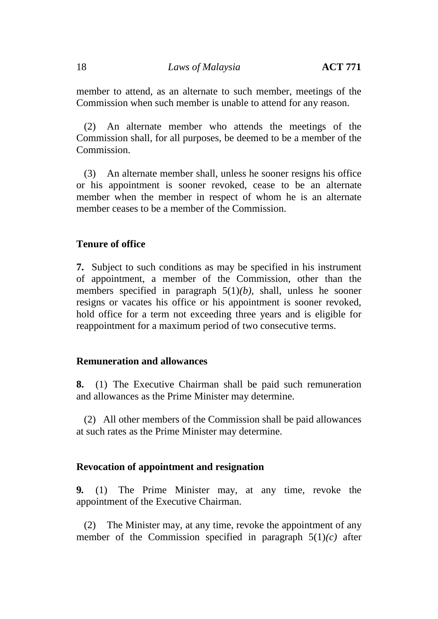member to attend, as an alternate to such member, meetings of the Commission when such member is unable to attend for any reason.

(2) An alternate member who attends the meetings of the Commission shall, for all purposes, be deemed to be a member of the Commission.

(3) An alternate member shall, unless he sooner resigns his office or his appointment is sooner revoked, cease to be an alternate member when the member in respect of whom he is an alternate member ceases to be a member of the Commission.

# **Tenure of office**

**7.** Subject to such conditions as may be specified in his instrument of appointment, a member of the Commission, other than the members specified in paragraph 5(1)*(b)*, shall, unless he sooner resigns or vacates his office or his appointment is sooner revoked, hold office for a term not exceeding three years and is eligible for reappointment for a maximum period of two consecutive terms.

## **Remuneration and allowances**

**8.** (1) The Executive Chairman shall be paid such remuneration and allowances as the Prime Minister may determine.

(2) All other members of the Commission shall be paid allowances at such rates as the Prime Minister may determine.

# **Revocation of appointment and resignation**

**9.** (1) The Prime Minister may, at any time, revoke the appointment of the Executive Chairman.

(2) The Minister may, at any time, revoke the appointment of any member of the Commission specified in paragraph  $5(1)(c)$  after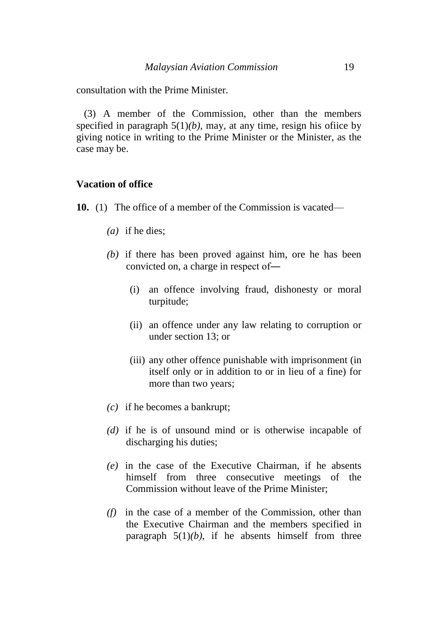consultation with the Prime Minister.

(3) A member of the Commission, other than the members specified in paragraph  $5(1)(b)$ , may, at any time, resign his office by giving notice in writing to the Prime Minister or the Minister, as the case may be.

## **Vacation of office**

- **10.** (1) The office of a member of the Commission is vacated—
	- *(a)* if he dies;
	- *(b)* if there has been proved against him, ore he has been convicted on, a charge in respect of―
		- (i) an offence involving fraud, dishonesty or moral turpitude;
		- (ii) an offence under any law relating to corruption or under section 13; or
		- (iii) any other offence punishable with imprisonment (in itself only or in addition to or in lieu of a fine) for more than two years;
	- *(c)* if he becomes a bankrupt;
	- *(d)* if he is of unsound mind or is otherwise incapable of discharging his duties;
	- *(e)* in the case of the Executive Chairman, if he absents himself from three consecutive meetings of the Commission without leave of the Prime Minister;
	- *(f)* in the case of a member of the Commission, other than the Executive Chairman and the members specified in paragraph  $5(1)(b)$ , if he absents himself from three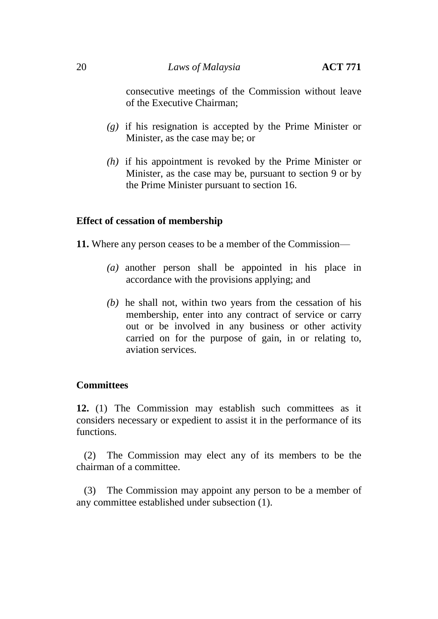consecutive meetings of the Commission without leave of the Executive Chairman;

- *(g)* if his resignation is accepted by the Prime Minister or Minister, as the case may be; or
- *(h)* if his appointment is revoked by the Prime Minister or Minister, as the case may be, pursuant to section 9 or by the Prime Minister pursuant to section 16.

# **Effect of cessation of membership**

**11.** Where any person ceases to be a member of the Commission—

- *(a)* another person shall be appointed in his place in accordance with the provisions applying; and
- *(b)* he shall not, within two years from the cessation of his membership, enter into any contract of service or carry out or be involved in any business or other activity carried on for the purpose of gain, in or relating to, aviation services.

# **Committees**

**12.** (1) The Commission may establish such committees as it considers necessary or expedient to assist it in the performance of its functions.

(2) The Commission may elect any of its members to be the chairman of a committee.

(3) The Commission may appoint any person to be a member of any committee established under subsection (1).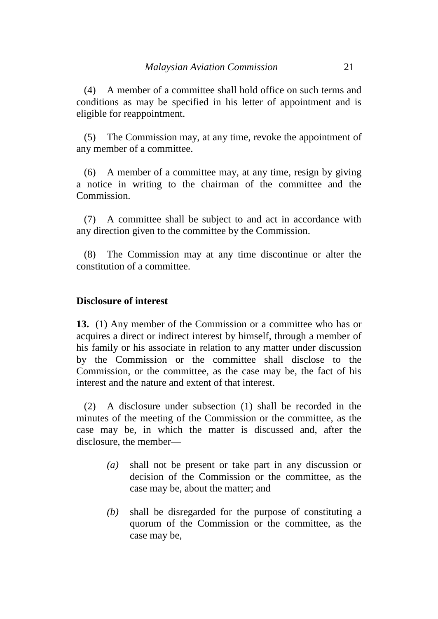(4) A member of a committee shall hold office on such terms and conditions as may be specified in his letter of appointment and is eligible for reappointment.

(5) The Commission may, at any time, revoke the appointment of any member of a committee.

(6) A member of a committee may, at any time, resign by giving a notice in writing to the chairman of the committee and the Commission.

(7) A committee shall be subject to and act in accordance with any direction given to the committee by the Commission.

(8) The Commission may at any time discontinue or alter the constitution of a committee.

# **Disclosure of interest**

**13.** (1) Any member of the Commission or a committee who has or acquires a direct or indirect interest by himself, through a member of his family or his associate in relation to any matter under discussion by the Commission or the committee shall disclose to the Commission, or the committee, as the case may be, the fact of his interest and the nature and extent of that interest.

(2) A disclosure under subsection (1) shall be recorded in the minutes of the meeting of the Commission or the committee, as the case may be, in which the matter is discussed and, after the disclosure, the member—

- *(a)* shall not be present or take part in any discussion or decision of the Commission or the committee, as the case may be, about the matter; and
- *(b)* shall be disregarded for the purpose of constituting a quorum of the Commission or the committee, as the case may be,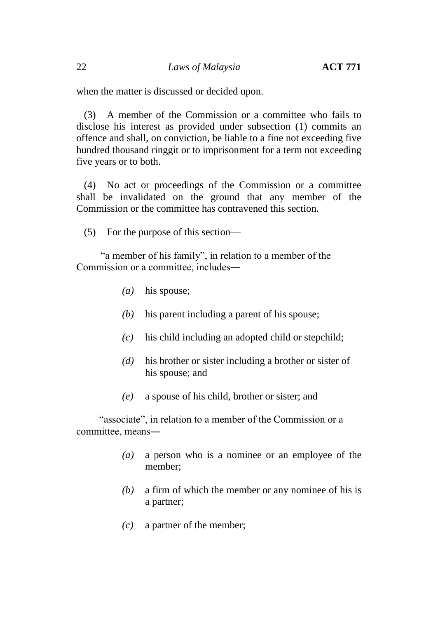when the matter is discussed or decided upon.

(3) A member of the Commission or a committee who fails to disclose his interest as provided under subsection (1) commits an offence and shall, on conviction, be liable to a fine not exceeding five hundred thousand ringgit or to imprisonment for a term not exceeding five years or to both.

(4) No act or proceedings of the Commission or a committee shall be invalidated on the ground that any member of the Commission or the committee has contravened this section.

(5) For the purpose of this section—

"a member of his family", in relation to a member of the Commission or a committee, includes―

- *(a)* his spouse;
- *(b)* his parent including a parent of his spouse;
- *(c)* his child including an adopted child or stepchild;
- *(d)* his brother or sister including a brother or sister of his spouse; and
- *(e)* a spouse of his child, brother or sister; and

"associate", in relation to a member of the Commission or a committee, means―

- *(a)* a person who is a nominee or an employee of the member;
- *(b)* a firm of which the member or any nominee of his is a partner;
- *(c)* a partner of the member;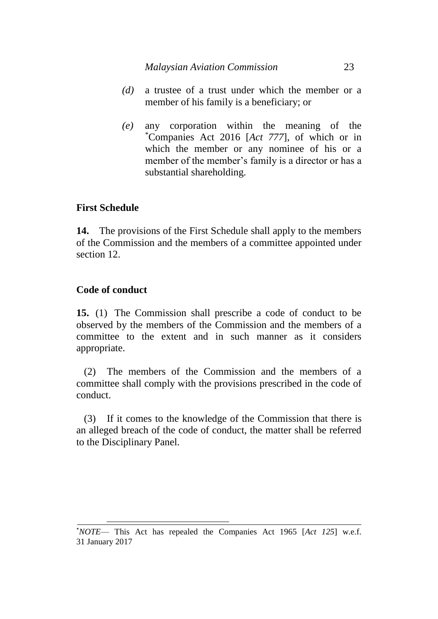- *(d)* a trustee of a trust under which the member or a member of his family is a beneficiary; or
- *(e)* any corporation within the meaning of the \*Companies Act 2016 [*Act 777*], of which or in which the member or any nominee of his or a member of the member's family is a director or has a substantial shareholding.

# **First Schedule**

**14.** The provisions of the First Schedule shall apply to the members of the Commission and the members of a committee appointed under section 12.

# **Code of conduct**

 $\overline{a}$ 

**15.** (1) The Commission shall prescribe a code of conduct to be observed by the members of the Commission and the members of a committee to the extent and in such manner as it considers appropriate.

(2) The members of the Commission and the members of a committee shall comply with the provisions prescribed in the code of conduct.

(3) If it comes to the knowledge of the Commission that there is an alleged breach of the code of conduct, the matter shall be referred to the Disciplinary Panel.

<sup>\*</sup>*NOTE*— This Act has repealed the Companies Act 1965 [*Act 125*] w.e.f. 31 January 2017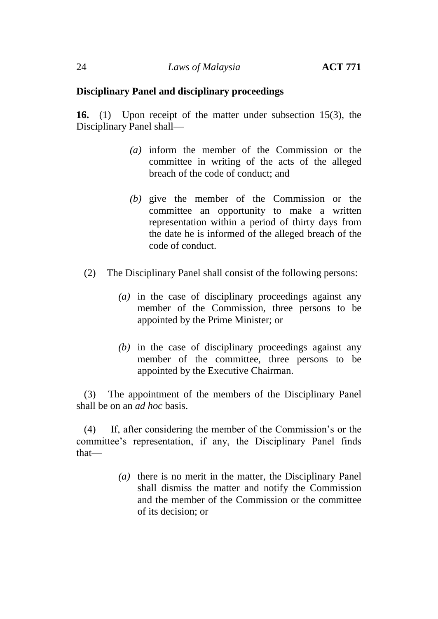# **Disciplinary Panel and disciplinary proceedings**

**16.** (1) Upon receipt of the matter under subsection 15(3), the Disciplinary Panel shall—

- *(a)* inform the member of the Commission or the committee in writing of the acts of the alleged breach of the code of conduct; and
- *(b)* give the member of the Commission or the committee an opportunity to make a written representation within a period of thirty days from the date he is informed of the alleged breach of the code of conduct.
- (2) The Disciplinary Panel shall consist of the following persons:
	- *(a)* in the case of disciplinary proceedings against any member of the Commission, three persons to be appointed by the Prime Minister; or
	- *(b)* in the case of disciplinary proceedings against any member of the committee, three persons to be appointed by the Executive Chairman.

(3) The appointment of the members of the Disciplinary Panel shall be on an *ad hoc* basis.

(4) If, after considering the member of the Commission's or the committee's representation, if any, the Disciplinary Panel finds that—

> *(a)* there is no merit in the matter, the Disciplinary Panel shall dismiss the matter and notify the Commission and the member of the Commission or the committee of its decision; or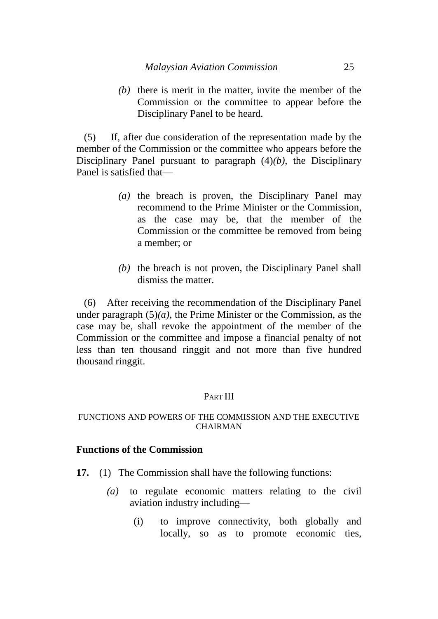*(b)* there is merit in the matter, invite the member of the Commission or the committee to appear before the Disciplinary Panel to be heard.

(5) If, after due consideration of the representation made by the member of the Commission or the committee who appears before the Disciplinary Panel pursuant to paragraph (4)*(b)*, the Disciplinary Panel is satisfied that—

- *(a)* the breach is proven, the Disciplinary Panel may recommend to the Prime Minister or the Commission, as the case may be, that the member of the Commission or the committee be removed from being a member; or
- *(b)* the breach is not proven, the Disciplinary Panel shall dismiss the matter.

(6) After receiving the recommendation of the Disciplinary Panel under paragraph  $(5)(a)$ , the Prime Minister or the Commission, as the case may be, shall revoke the appointment of the member of the Commission or the committee and impose a financial penalty of not less than ten thousand ringgit and not more than five hundred thousand ringgit.

# PART III

## FUNCTIONS AND POWERS OF THE COMMISSION AND THE EXECUTIVE CHAIRMAN

## **Functions of the Commission**

- **17.** (1) The Commission shall have the following functions:
	- *(a)* to regulate economic matters relating to the civil aviation industry including—
		- (i) to improve connectivity, both globally and locally, so as to promote economic ties,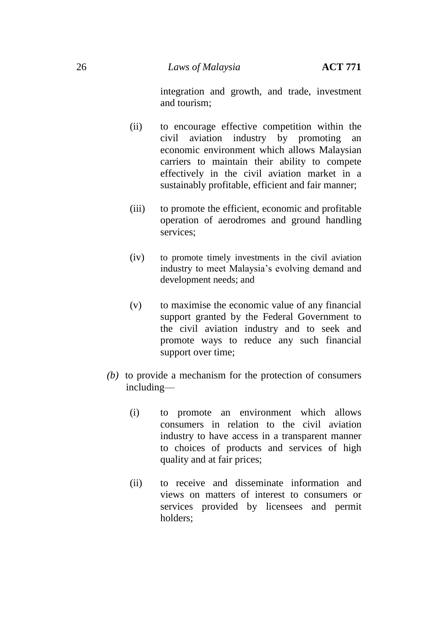integration and growth, and trade, investment and tourism;

- (ii) to encourage effective competition within the civil aviation industry by promoting an economic environment which allows Malaysian carriers to maintain their ability to compete effectively in the civil aviation market in a sustainably profitable, efficient and fair manner;
- (iii) to promote the efficient, economic and profitable operation of aerodromes and ground handling services;
- (iv) to promote timely investments in the civil aviation industry to meet Malaysia's evolving demand and development needs; and
- (v) to maximise the economic value of any financial support granted by the Federal Government to the civil aviation industry and to seek and promote ways to reduce any such financial support over time;
- *(b)* to provide a mechanism for the protection of consumers including—
	- (i) to promote an environment which allows consumers in relation to the civil aviation industry to have access in a transparent manner to choices of products and services of high quality and at fair prices;
	- (ii) to receive and disseminate information and views on matters of interest to consumers or services provided by licensees and permit holders;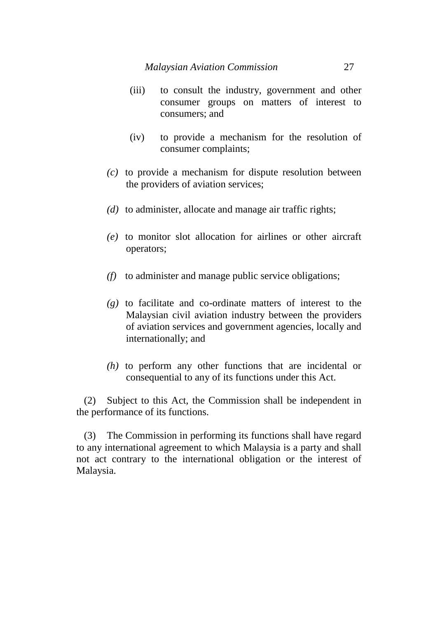- (iii) to consult the industry, government and other consumer groups on matters of interest to consumers; and
- (iv) to provide a mechanism for the resolution of consumer complaints;
- *(c)* to provide a mechanism for dispute resolution between the providers of aviation services;
- *(d)* to administer, allocate and manage air traffic rights;
- *(e)* to monitor slot allocation for airlines or other aircraft operators;
- *(f)* to administer and manage public service obligations;
- *(g)* to facilitate and co-ordinate matters of interest to the Malaysian civil aviation industry between the providers of aviation services and government agencies, locally and internationally; and
- *(h)* to perform any other functions that are incidental or consequential to any of its functions under this Act.

(2) Subject to this Act, the Commission shall be independent in the performance of its functions.

(3) The Commission in performing its functions shall have regard to any international agreement to which Malaysia is a party and shall not act contrary to the international obligation or the interest of Malaysia.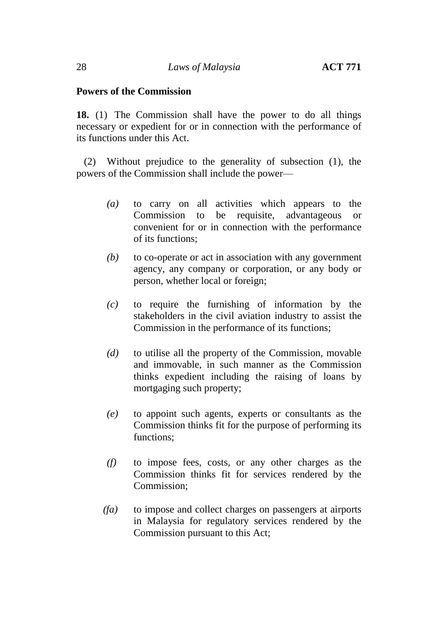## **Powers of the Commission**

**18.** (1) The Commission shall have the power to do all things necessary or expedient for or in connection with the performance of its functions under this Act.

(2) Without prejudice to the generality of subsection (1), the powers of the Commission shall include the power—

- *(a)* to carry on all activities which appears to the Commission to be requisite, advantageous or convenient for or in connection with the performance of its functions;
- *(b)* to co-operate or act in association with any government agency, any company or corporation, or any body or person, whether local or foreign;
- *(c)* to require the furnishing of information by the stakeholders in the civil aviation industry to assist the Commission in the performance of its functions;
- *(d)* to utilise all the property of the Commission, movable and immovable, in such manner as the Commission thinks expedient including the raising of loans by mortgaging such property;
- *(e)* to appoint such agents, experts or consultants as the Commission thinks fit for the purpose of performing its functions;
- *(f)* to impose fees, costs, or any other charges as the Commission thinks fit for services rendered by the Commission;
- *(fa)* to impose and collect charges on passengers at airports in Malaysia for regulatory services rendered by the Commission pursuant to this Act;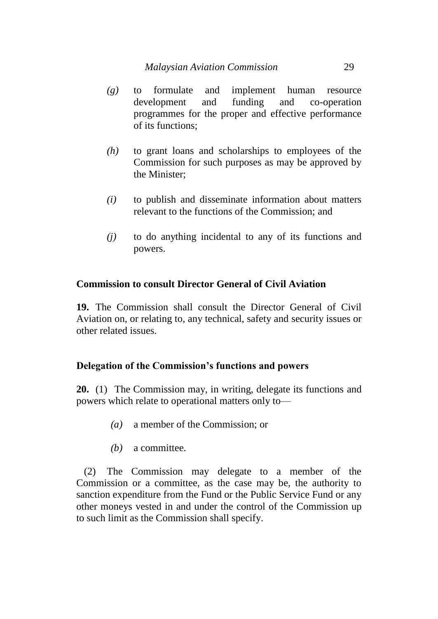- *(g)* to formulate and implement human resource development and funding and co-operation programmes for the proper and effective performance of its functions;
- *(h)* to grant loans and scholarships to employees of the Commission for such purposes as may be approved by the Minister;
- *(i)* to publish and disseminate information about matters relevant to the functions of the Commission; and
- *(j)* to do anything incidental to any of its functions and powers.

# **Commission to consult Director General of Civil Aviation**

**19.** The Commission shall consult the Director General of Civil Aviation on, or relating to, any technical, safety and security issues or other related issues.

# **Delegation of the Commission's functions and powers**

**20.** (1) The Commission may, in writing, delegate its functions and powers which relate to operational matters only to—

- *(a)* a member of the Commission; or
- *(b)* a committee.

(2) The Commission may delegate to a member of the Commission or a committee, as the case may be, the authority to sanction expenditure from the Fund or the Public Service Fund or any other moneys vested in and under the control of the Commission up to such limit as the Commission shall specify.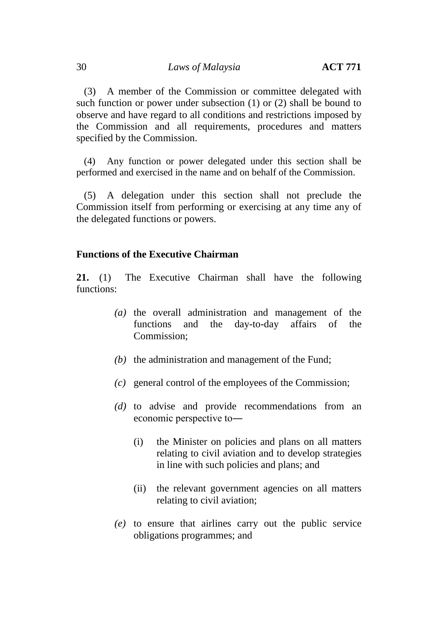(3) A member of the Commission or committee delegated with such function or power under subsection (1) or (2) shall be bound to observe and have regard to all conditions and restrictions imposed by the Commission and all requirements, procedures and matters specified by the Commission.

(4) Any function or power delegated under this section shall be performed and exercised in the name and on behalf of the Commission.

(5) A delegation under this section shall not preclude the Commission itself from performing or exercising at any time any of the delegated functions or powers.

# **Functions of the Executive Chairman**

**21.** (1) The Executive Chairman shall have the following functions:

- *(a)* the overall administration and management of the functions and the day-to-day affairs of the Commission;
- *(b)* the administration and management of the Fund;
- *(c)* general control of the employees of the Commission;
- *(d)* to advise and provide recommendations from an economic perspective to―
	- (i) the Minister on policies and plans on all matters relating to civil aviation and to develop strategies in line with such policies and plans; and
	- (ii) the relevant government agencies on all matters relating to civil aviation;
- *(e)* to ensure that airlines carry out the public service obligations programmes; and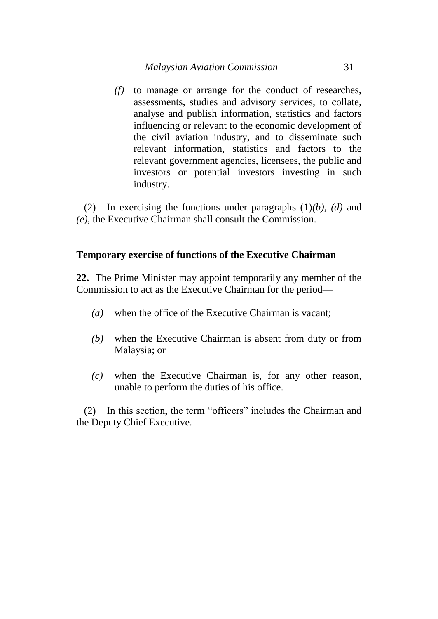*(f)* to manage or arrange for the conduct of researches, assessments, studies and advisory services, to collate, analyse and publish information, statistics and factors influencing or relevant to the economic development of the civil aviation industry, and to disseminate such relevant information, statistics and factors to the relevant government agencies, licensees, the public and investors or potential investors investing in such industry.

(2) In exercising the functions under paragraphs (1)*(b)*, *(d)* and *(e)*, the Executive Chairman shall consult the Commission.

# **Temporary exercise of functions of the Executive Chairman**

**22.** The Prime Minister may appoint temporarily any member of the Commission to act as the Executive Chairman for the period—

- *(a)* when the office of the Executive Chairman is vacant;
- *(b)* when the Executive Chairman is absent from duty or from Malaysia; or
- *(c)* when the Executive Chairman is, for any other reason, unable to perform the duties of his office.

(2) In this section, the term "officers" includes the Chairman and the Deputy Chief Executive.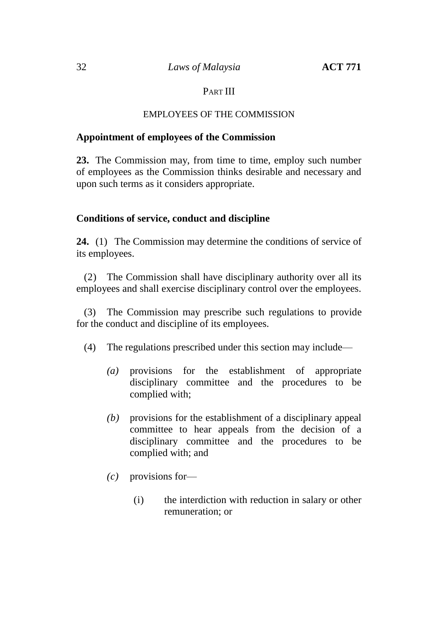# PART **III**

# EMPLOYEES OF THE COMMISSION

## **Appointment of employees of the Commission**

**23.** The Commission may, from time to time, employ such number of employees as the Commission thinks desirable and necessary and upon such terms as it considers appropriate.

# **Conditions of service, conduct and discipline**

**24.** (1) The Commission may determine the conditions of service of its employees.

(2) The Commission shall have disciplinary authority over all its employees and shall exercise disciplinary control over the employees.

(3) The Commission may prescribe such regulations to provide for the conduct and discipline of its employees.

- (4) The regulations prescribed under this section may include—
	- *(a)* provisions for the establishment of appropriate disciplinary committee and the procedures to be complied with;
	- *(b)* provisions for the establishment of a disciplinary appeal committee to hear appeals from the decision of a disciplinary committee and the procedures to be complied with; and
	- *(c)* provisions for—
		- (i) the interdiction with reduction in salary or other remuneration; or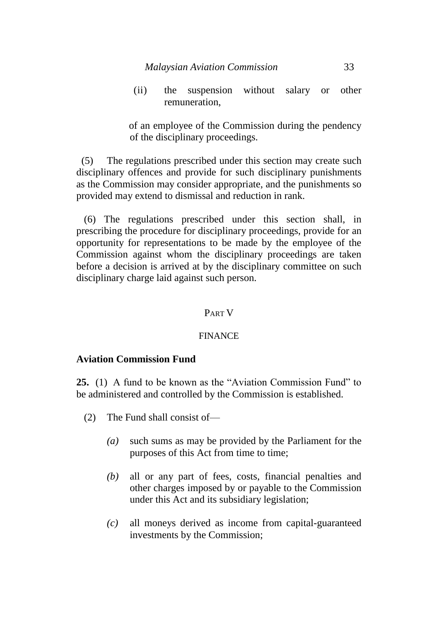(ii) the suspension without salary or other remuneration,

of an employee of the Commission during the pendency of the disciplinary proceedings.

 (5) The regulations prescribed under this section may create such disciplinary offences and provide for such disciplinary punishments as the Commission may consider appropriate, and the punishments so provided may extend to dismissal and reduction in rank.

(6) The regulations prescribed under this section shall, in prescribing the procedure for disciplinary proceedings, provide for an opportunity for representations to be made by the employee of the Commission against whom the disciplinary proceedings are taken before a decision is arrived at by the disciplinary committee on such disciplinary charge laid against such person.

## PART V

## FINANCE

# **Aviation Commission Fund**

**25.** (1) A fund to be known as the "Aviation Commission Fund" to be administered and controlled by the Commission is established.

- (2) The Fund shall consist of—
	- *(a)* such sums as may be provided by the Parliament for the purposes of this Act from time to time;
	- *(b)* all or any part of fees, costs, financial penalties and other charges imposed by or payable to the Commission under this Act and its subsidiary legislation;
	- *(c)* all moneys derived as income from capital-guaranteed investments by the Commission;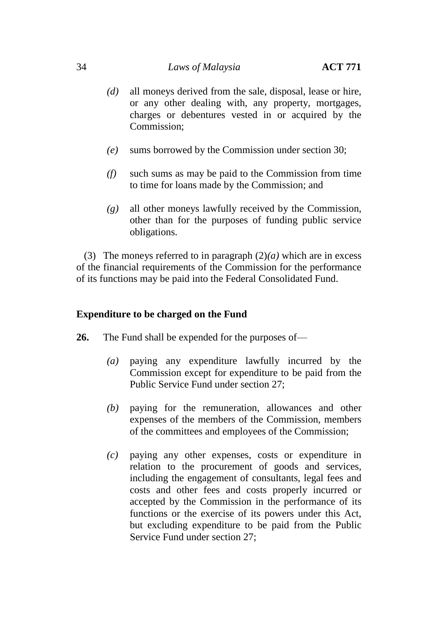# 34 *Laws of Malaysia* **ACT 771**

- *(d)* all moneys derived from the sale, disposal, lease or hire, or any other dealing with, any property, mortgages, charges or debentures vested in or acquired by the Commission;
- *(e)* sums borrowed by the Commission under section 30;
- *(f)* such sums as may be paid to the Commission from time to time for loans made by the Commission; and
- *(g)* all other moneys lawfully received by the Commission, other than for the purposes of funding public service obligations.

(3) The moneys referred to in paragraph (2)*(a)* which are in excess of the financial requirements of the Commission for the performance of its functions may be paid into the Federal Consolidated Fund.

# **Expenditure to be charged on the Fund**

- **26.** The Fund shall be expended for the purposes of—
	- *(a)* paying any expenditure lawfully incurred by the Commission except for expenditure to be paid from the Public Service Fund under section 27;
	- *(b)* paying for the remuneration, allowances and other expenses of the members of the Commission, members of the committees and employees of the Commission;
	- *(c)* paying any other expenses, costs or expenditure in relation to the procurement of goods and services, including the engagement of consultants, legal fees and costs and other fees and costs properly incurred or accepted by the Commission in the performance of its functions or the exercise of its powers under this Act, but excluding expenditure to be paid from the Public Service Fund under section 27;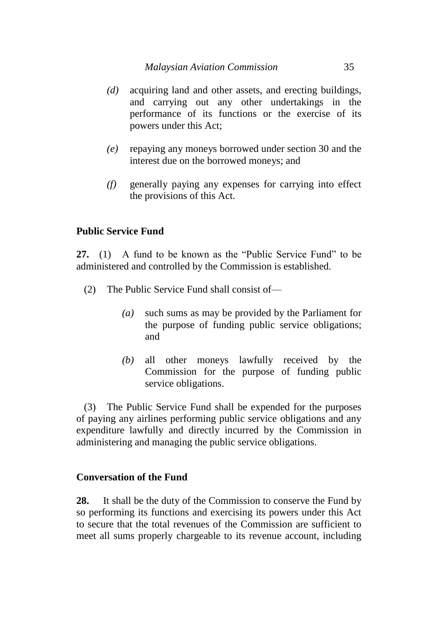- *(d)* acquiring land and other assets, and erecting buildings, and carrying out any other undertakings in the performance of its functions or the exercise of its powers under this Act;
- *(e)* repaying any moneys borrowed under section 30 and the interest due on the borrowed moneys; and
- *(f)* generally paying any expenses for carrying into effect the provisions of this Act.

# **Public Service Fund**

**27.** (1) A fund to be known as the "Public Service Fund" to be administered and controlled by the Commission is established.

- (2) The Public Service Fund shall consist of—
	- *(a)* such sums as may be provided by the Parliament for the purpose of funding public service obligations; and
	- *(b)* all other moneys lawfully received by the Commission for the purpose of funding public service obligations.

(3) The Public Service Fund shall be expended for the purposes of paying any airlines performing public service obligations and any expenditure lawfully and directly incurred by the Commission in administering and managing the public service obligations.

# **Conversation of the Fund**

**28.** It shall be the duty of the Commission to conserve the Fund by so performing its functions and exercising its powers under this Act to secure that the total revenues of the Commission are sufficient to meet all sums properly chargeable to its revenue account, including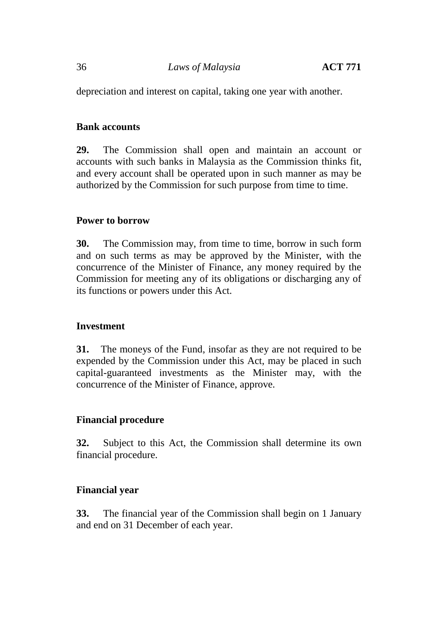depreciation and interest on capital, taking one year with another.

# **Bank accounts**

**29.** The Commission shall open and maintain an account or accounts with such banks in Malaysia as the Commission thinks fit, and every account shall be operated upon in such manner as may be authorized by the Commission for such purpose from time to time.

# **Power to borrow**

**30.** The Commission may, from time to time, borrow in such form and on such terms as may be approved by the Minister, with the concurrence of the Minister of Finance, any money required by the Commission for meeting any of its obligations or discharging any of its functions or powers under this Act.

# **Investment**

**31.** The moneys of the Fund, insofar as they are not required to be expended by the Commission under this Act, may be placed in such capital-guaranteed investments as the Minister may, with the concurrence of the Minister of Finance, approve.

# **Financial procedure**

**32.** Subject to this Act, the Commission shall determine its own financial procedure.

# **Financial year**

**33.** The financial year of the Commission shall begin on 1 January and end on 31 December of each year.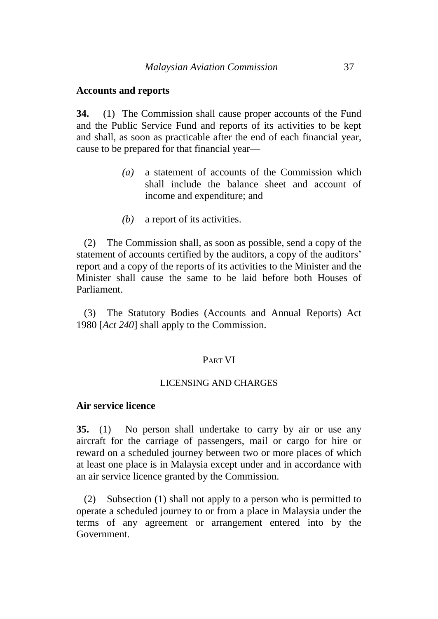#### **Accounts and reports**

**34.** (1) The Commission shall cause proper accounts of the Fund and the Public Service Fund and reports of its activities to be kept and shall, as soon as practicable after the end of each financial year, cause to be prepared for that financial year—

- *(a)* a statement of accounts of the Commission which shall include the balance sheet and account of income and expenditure; and
- *(b)* a report of its activities.

(2) The Commission shall, as soon as possible, send a copy of the statement of accounts certified by the auditors, a copy of the auditors' report and a copy of the reports of its activities to the Minister and the Minister shall cause the same to be laid before both Houses of Parliament.

(3) The Statutory Bodies (Accounts and Annual Reports) Act 1980 [*Act 240*] shall apply to the Commission.

#### PART VI

#### LICENSING AND CHARGES

## **Air service licence**

**35.** (1) No person shall undertake to carry by air or use any aircraft for the carriage of passengers, mail or cargo for hire or reward on a scheduled journey between two or more places of which at least one place is in Malaysia except under and in accordance with an air service licence granted by the Commission.

(2) Subsection (1) shall not apply to a person who is permitted to operate a scheduled journey to or from a place in Malaysia under the terms of any agreement or arrangement entered into by the Government.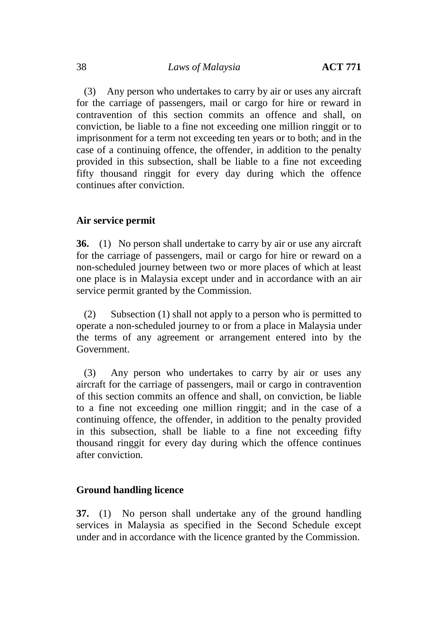(3) Any person who undertakes to carry by air or uses any aircraft for the carriage of passengers, mail or cargo for hire or reward in contravention of this section commits an offence and shall, on conviction, be liable to a fine not exceeding one million ringgit or to imprisonment for a term not exceeding ten years or to both; and in the case of a continuing offence, the offender, in addition to the penalty provided in this subsection, shall be liable to a fine not exceeding fifty thousand ringgit for every day during which the offence continues after conviction.

## **Air service permit**

**36.** (1) No person shall undertake to carry by air or use any aircraft for the carriage of passengers, mail or cargo for hire or reward on a non-scheduled journey between two or more places of which at least one place is in Malaysia except under and in accordance with an air service permit granted by the Commission.

(2) Subsection (1) shall not apply to a person who is permitted to operate a non-scheduled journey to or from a place in Malaysia under the terms of any agreement or arrangement entered into by the Government.

(3) Any person who undertakes to carry by air or uses any aircraft for the carriage of passengers, mail or cargo in contravention of this section commits an offence and shall, on conviction, be liable to a fine not exceeding one million ringgit; and in the case of a continuing offence, the offender, in addition to the penalty provided in this subsection, shall be liable to a fine not exceeding fifty thousand ringgit for every day during which the offence continues after conviction.

## **Ground handling licence**

**37.** (1) No person shall undertake any of the ground handling services in Malaysia as specified in the Second Schedule except under and in accordance with the licence granted by the Commission.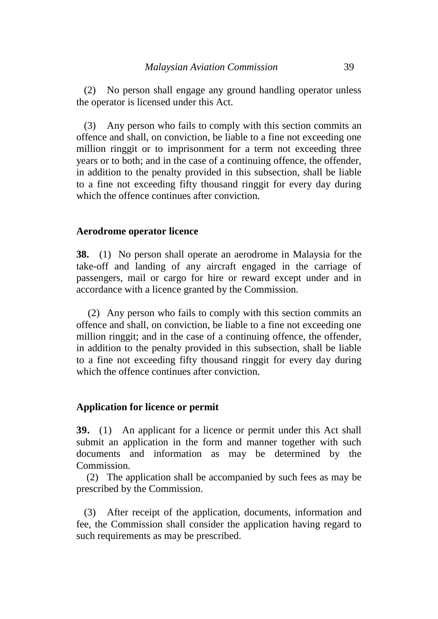(2) No person shall engage any ground handling operator unless the operator is licensed under this Act.

(3) Any person who fails to comply with this section commits an offence and shall, on conviction, be liable to a fine not exceeding one million ringgit or to imprisonment for a term not exceeding three years or to both; and in the case of a continuing offence, the offender, in addition to the penalty provided in this subsection, shall be liable to a fine not exceeding fifty thousand ringgit for every day during which the offence continues after conviction.

#### **Aerodrome operator licence**

**38.** (1) No person shall operate an aerodrome in Malaysia for the take-off and landing of any aircraft engaged in the carriage of passengers, mail or cargo for hire or reward except under and in accordance with a licence granted by the Commission.

(2) Any person who fails to comply with this section commits an offence and shall, on conviction, be liable to a fine not exceeding one million ringgit; and in the case of a continuing offence, the offender, in addition to the penalty provided in this subsection, shall be liable to a fine not exceeding fifty thousand ringgit for every day during which the offence continues after conviction.

#### **Application for licence or permit**

**39.** (1) An applicant for a licence or permit under this Act shall submit an application in the form and manner together with such documents and information as may be determined by the Commission.

(2) The application shall be accompanied by such fees as may be prescribed by the Commission.

(3) After receipt of the application, documents, information and fee, the Commission shall consider the application having regard to such requirements as may be prescribed.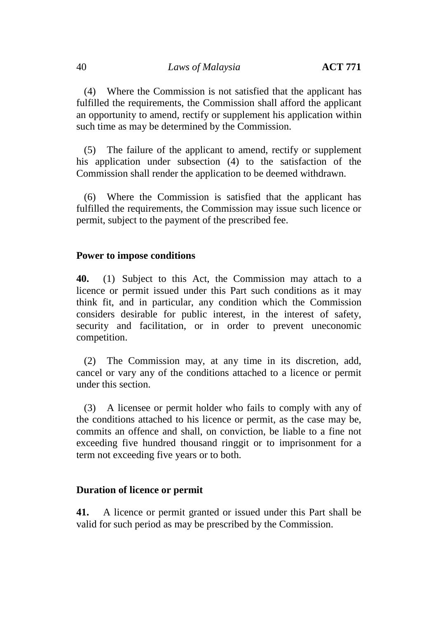(4) Where the Commission is not satisfied that the applicant has fulfilled the requirements, the Commission shall afford the applicant an opportunity to amend, rectify or supplement his application within such time as may be determined by the Commission.

(5) The failure of the applicant to amend, rectify or supplement his application under subsection (4) to the satisfaction of the Commission shall render the application to be deemed withdrawn.

(6) Where the Commission is satisfied that the applicant has fulfilled the requirements, the Commission may issue such licence or permit, subject to the payment of the prescribed fee.

#### **Power to impose conditions**

**40.** (1) Subject to this Act, the Commission may attach to a licence or permit issued under this Part such conditions as it may think fit, and in particular, any condition which the Commission considers desirable for public interest, in the interest of safety, security and facilitation, or in order to prevent uneconomic competition.

(2) The Commission may, at any time in its discretion, add, cancel or vary any of the conditions attached to a licence or permit under this section.

(3) A licensee or permit holder who fails to comply with any of the conditions attached to his licence or permit, as the case may be, commits an offence and shall, on conviction, be liable to a fine not exceeding five hundred thousand ringgit or to imprisonment for a term not exceeding five years or to both.

## **Duration of licence or permit**

**41.** A licence or permit granted or issued under this Part shall be valid for such period as may be prescribed by the Commission.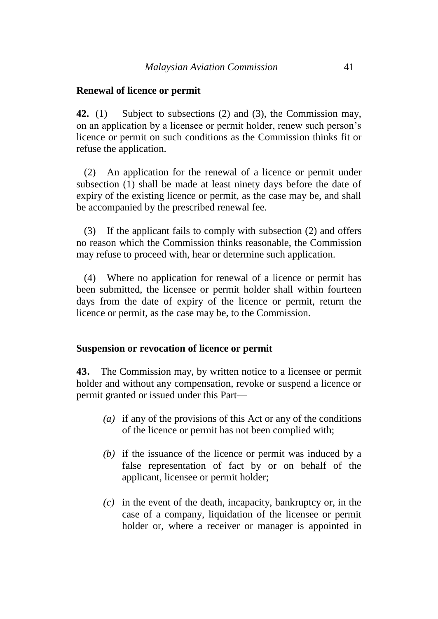#### **Renewal of licence or permit**

**42.** (1) Subject to subsections (2) and (3), the Commission may, on an application by a licensee or permit holder, renew such person's licence or permit on such conditions as the Commission thinks fit or refuse the application.

(2) An application for the renewal of a licence or permit under subsection (1) shall be made at least ninety days before the date of expiry of the existing licence or permit, as the case may be, and shall be accompanied by the prescribed renewal fee.

(3) If the applicant fails to comply with subsection (2) and offers no reason which the Commission thinks reasonable, the Commission may refuse to proceed with, hear or determine such application.

(4) Where no application for renewal of a licence or permit has been submitted, the licensee or permit holder shall within fourteen days from the date of expiry of the licence or permit, return the licence or permit, as the case may be, to the Commission.

#### **Suspension or revocation of licence or permit**

**43.** The Commission may, by written notice to a licensee or permit holder and without any compensation, revoke or suspend a licence or permit granted or issued under this Part—

- *(a)* if any of the provisions of this Act or any of the conditions of the licence or permit has not been complied with;
- *(b)* if the issuance of the licence or permit was induced by a false representation of fact by or on behalf of the applicant, licensee or permit holder;
- *(c)* in the event of the death, incapacity, bankruptcy or, in the case of a company, liquidation of the licensee or permit holder or, where a receiver or manager is appointed in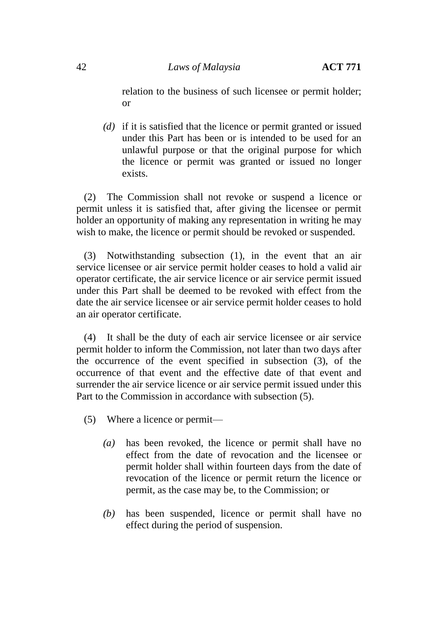relation to the business of such licensee or permit holder; or

*(d)* if it is satisfied that the licence or permit granted or issued under this Part has been or is intended to be used for an unlawful purpose or that the original purpose for which the licence or permit was granted or issued no longer exists.

(2) The Commission shall not revoke or suspend a licence or permit unless it is satisfied that, after giving the licensee or permit holder an opportunity of making any representation in writing he may wish to make, the licence or permit should be revoked or suspended.

(3) Notwithstanding subsection (1), in the event that an air service licensee or air service permit holder ceases to hold a valid air operator certificate, the air service licence or air service permit issued under this Part shall be deemed to be revoked with effect from the date the air service licensee or air service permit holder ceases to hold an air operator certificate.

(4) It shall be the duty of each air service licensee or air service permit holder to inform the Commission, not later than two days after the occurrence of the event specified in subsection (3), of the occurrence of that event and the effective date of that event and surrender the air service licence or air service permit issued under this Part to the Commission in accordance with subsection (5).

- (5) Where a licence or permit—
	- *(a)* has been revoked, the licence or permit shall have no effect from the date of revocation and the licensee or permit holder shall within fourteen days from the date of revocation of the licence or permit return the licence or permit, as the case may be, to the Commission; or
	- *(b)* has been suspended, licence or permit shall have no effect during the period of suspension.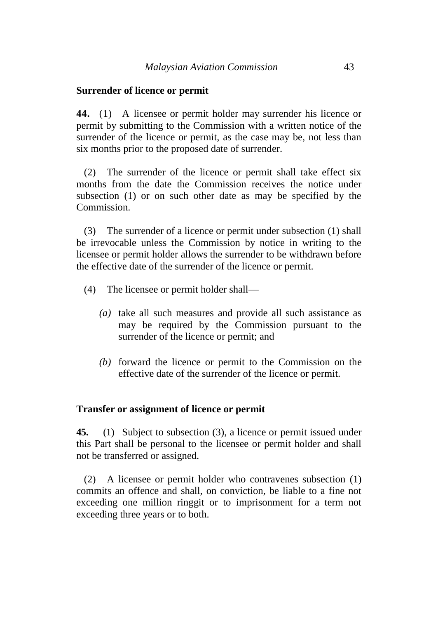#### **Surrender of licence or permit**

**44.** (1) A licensee or permit holder may surrender his licence or permit by submitting to the Commission with a written notice of the surrender of the licence or permit, as the case may be, not less than six months prior to the proposed date of surrender.

(2) The surrender of the licence or permit shall take effect six months from the date the Commission receives the notice under subsection (1) or on such other date as may be specified by the Commission.

(3) The surrender of a licence or permit under subsection (1) shall be irrevocable unless the Commission by notice in writing to the licensee or permit holder allows the surrender to be withdrawn before the effective date of the surrender of the licence or permit.

- (4) The licensee or permit holder shall—
	- *(a)* take all such measures and provide all such assistance as may be required by the Commission pursuant to the surrender of the licence or permit; and
	- *(b)* forward the licence or permit to the Commission on the effective date of the surrender of the licence or permit.

#### **Transfer or assignment of licence or permit**

**45.** (1) Subject to subsection (3), a licence or permit issued under this Part shall be personal to the licensee or permit holder and shall not be transferred or assigned.

(2) A licensee or permit holder who contravenes subsection (1) commits an offence and shall, on conviction, be liable to a fine not exceeding one million ringgit or to imprisonment for a term not exceeding three years or to both.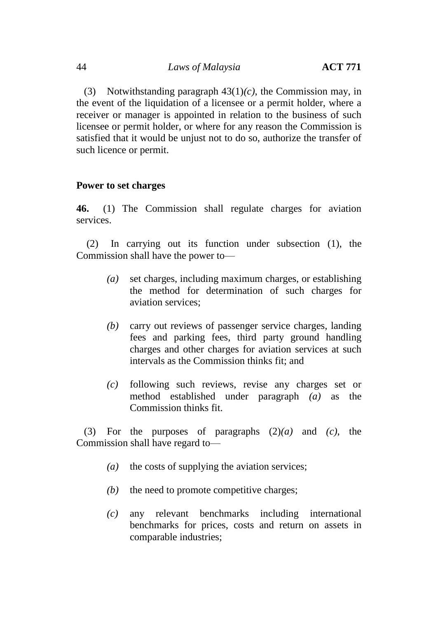(3) Notwithstanding paragraph 43(1)*(c)*, the Commission may, in the event of the liquidation of a licensee or a permit holder, where a receiver or manager is appointed in relation to the business of such licensee or permit holder, or where for any reason the Commission is satisfied that it would be unjust not to do so, authorize the transfer of such licence or permit.

#### **Power to set charges**

**46.** (1) The Commission shall regulate charges for aviation services.

(2) In carrying out its function under subsection (1), the Commission shall have the power to—

- *(a)* set charges, including maximum charges, or establishing the method for determination of such charges for aviation services;
- *(b)* carry out reviews of passenger service charges, landing fees and parking fees, third party ground handling charges and other charges for aviation services at such intervals as the Commission thinks fit; and
- *(c)* following such reviews, revise any charges set or method established under paragraph *(a)* as the Commission thinks fit.

(3) For the purposes of paragraphs (2)*(a)* and *(c)*, the Commission shall have regard to—

- *(a)* the costs of supplying the aviation services;
- *(b)* the need to promote competitive charges;
- *(c)* any relevant benchmarks including international benchmarks for prices, costs and return on assets in comparable industries;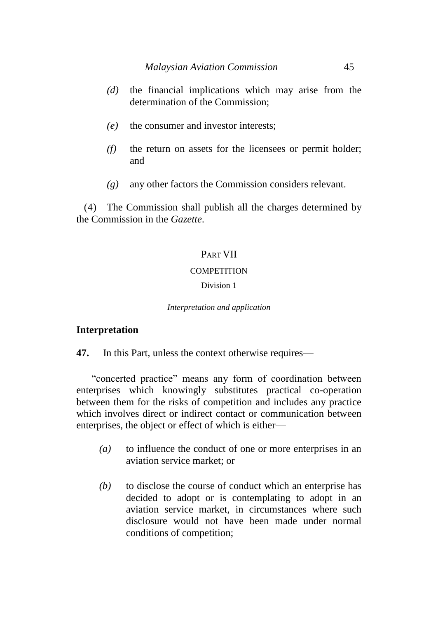- *(d)* the financial implications which may arise from the determination of the Commission;
- *(e)* the consumer and investor interests;
- *(f)* the return on assets for the licensees or permit holder; and
- *(g)* any other factors the Commission considers relevant.

(4) The Commission shall publish all the charges determined by the Commission in the *Gazette*.

## PART VII

#### **COMPETITION**

#### Division 1

*Interpretation and application*

## **Interpretation**

**47.** In this Part, unless the context otherwise requires—

"concerted practice" means any form of coordination between enterprises which knowingly substitutes practical co-operation between them for the risks of competition and includes any practice which involves direct or indirect contact or communication between enterprises, the object or effect of which is either—

- *(a)* to influence the conduct of one or more enterprises in an aviation service market; or
- *(b)* to disclose the course of conduct which an enterprise has decided to adopt or is contemplating to adopt in an aviation service market, in circumstances where such disclosure would not have been made under normal conditions of competition;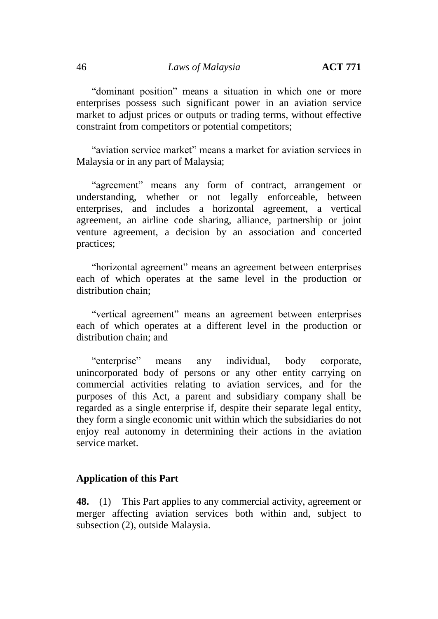"dominant position" means a situation in which one or more enterprises possess such significant power in an aviation service market to adjust prices or outputs or trading terms, without effective constraint from competitors or potential competitors;

"aviation service market" means a market for aviation services in Malaysia or in any part of Malaysia;

"agreement" means any form of contract, arrangement or understanding, whether or not legally enforceable, between enterprises, and includes a horizontal agreement, a vertical agreement, an airline code sharing, alliance, partnership or joint venture agreement, a decision by an association and concerted practices;

"horizontal agreement" means an agreement between enterprises each of which operates at the same level in the production or distribution chain;

"vertical agreement" means an agreement between enterprises each of which operates at a different level in the production or distribution chain; and

"enterprise" means any individual, body corporate, unincorporated body of persons or any other entity carrying on commercial activities relating to aviation services, and for the purposes of this Act, a parent and subsidiary company shall be regarded as a single enterprise if, despite their separate legal entity, they form a single economic unit within which the subsidiaries do not enjoy real autonomy in determining their actions in the aviation service market.

## **Application of this Part**

**48.** (1) This Part applies to any commercial activity, agreement or merger affecting aviation services both within and, subject to subsection (2), outside Malaysia.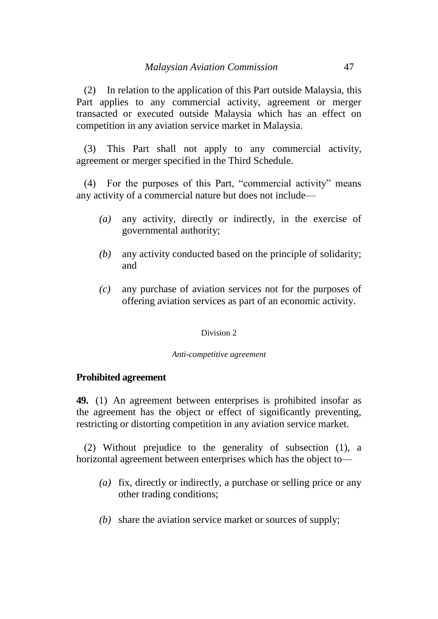(2) In relation to the application of this Part outside Malaysia, this Part applies to any commercial activity, agreement or merger transacted or executed outside Malaysia which has an effect on competition in any aviation service market in Malaysia.

(3) This Part shall not apply to any commercial activity, agreement or merger specified in the Third Schedule.

(4) For the purposes of this Part, "commercial activity" means any activity of a commercial nature but does not include—

- *(a)* any activity, directly or indirectly, in the exercise of governmental authority;
- *(b)* any activity conducted based on the principle of solidarity; and
- *(c)* any purchase of aviation services not for the purposes of offering aviation services as part of an economic activity.

#### Division 2

#### *Anti-competitive agreement*

## **Prohibited agreement**

**49.** (1) An agreement between enterprises is prohibited insofar as the agreement has the object or effect of significantly preventing, restricting or distorting competition in any aviation service market.

(2) Without prejudice to the generality of subsection (1), a horizontal agreement between enterprises which has the object to—

- *(a)* fix, directly or indirectly, a purchase or selling price or any other trading conditions;
- *(b)* share the aviation service market or sources of supply;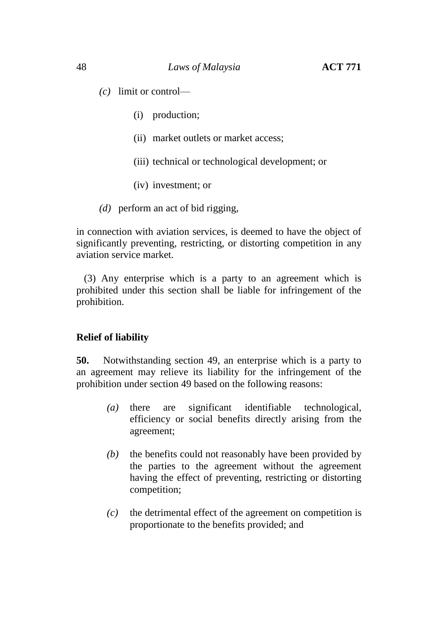*(c)* limit or control—

- (i) production;
- (ii) market outlets or market access;
- (iii) technical or technological development; or
- (iv) investment; or
- *(d)* perform an act of bid rigging,

in connection with aviation services, is deemed to have the object of significantly preventing, restricting, or distorting competition in any aviation service market.

(3) Any enterprise which is a party to an agreement which is prohibited under this section shall be liable for infringement of the prohibition.

## **Relief of liability**

**50.** Notwithstanding section 49, an enterprise which is a party to an agreement may relieve its liability for the infringement of the prohibition under section 49 based on the following reasons:

- *(a)* there are significant identifiable technological, efficiency or social benefits directly arising from the agreement;
- *(b)* the benefits could not reasonably have been provided by the parties to the agreement without the agreement having the effect of preventing, restricting or distorting competition;
- *(c)* the detrimental effect of the agreement on competition is proportionate to the benefits provided; and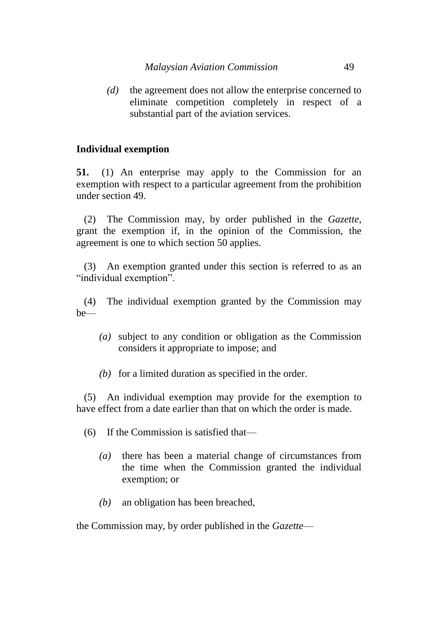*(d)* the agreement does not allow the enterprise concerned to eliminate competition completely in respect of a substantial part of the aviation services.

## **Individual exemption**

**51.** (1) An enterprise may apply to the Commission for an exemption with respect to a particular agreement from the prohibition under section 49.

(2) The Commission may, by order published in the *Gazette*, grant the exemption if, in the opinion of the Commission, the agreement is one to which section 50 applies.

(3) An exemption granted under this section is referred to as an "individual exemption".

(4) The individual exemption granted by the Commission may be—

- *(a)* subject to any condition or obligation as the Commission considers it appropriate to impose; and
- *(b)* for a limited duration as specified in the order.

(5) An individual exemption may provide for the exemption to have effect from a date earlier than that on which the order is made.

(6) If the Commission is satisfied that—

- *(a)* there has been a material change of circumstances from the time when the Commission granted the individual exemption; or
- *(b)* an obligation has been breached,

the Commission may, by order published in the *Gazette*—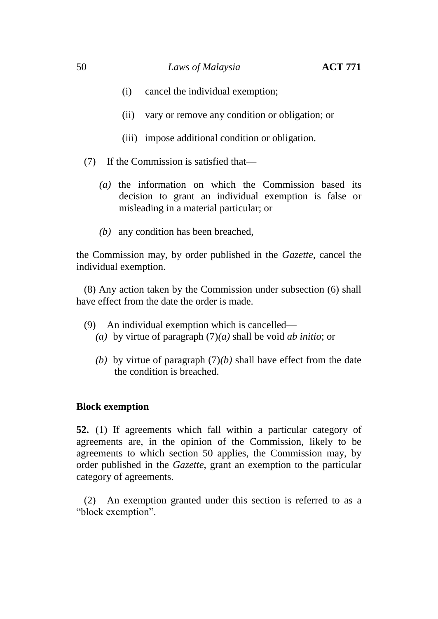- (i) cancel the individual exemption;
- (ii) vary or remove any condition or obligation; or
- (iii) impose additional condition or obligation.
- (7) If the Commission is satisfied that—
	- *(a)* the information on which the Commission based its decision to grant an individual exemption is false or misleading in a material particular; or
	- *(b)* any condition has been breached,

the Commission may, by order published in the *Gazette*, cancel the individual exemption.

(8) Any action taken by the Commission under subsection (6) shall have effect from the date the order is made.

- (9) An individual exemption which is cancelled— *(a)* by virtue of paragraph (7)*(a)* shall be void *ab initio*; or
	-
	- *(b)* by virtue of paragraph (7)*(b)* shall have effect from the date the condition is breached.

## **Block exemption**

**52.** (1) If agreements which fall within a particular category of agreements are, in the opinion of the Commission, likely to be agreements to which section 50 applies, the Commission may, by order published in the *Gazette*, grant an exemption to the particular category of agreements.

(2) An exemption granted under this section is referred to as a "block exemption".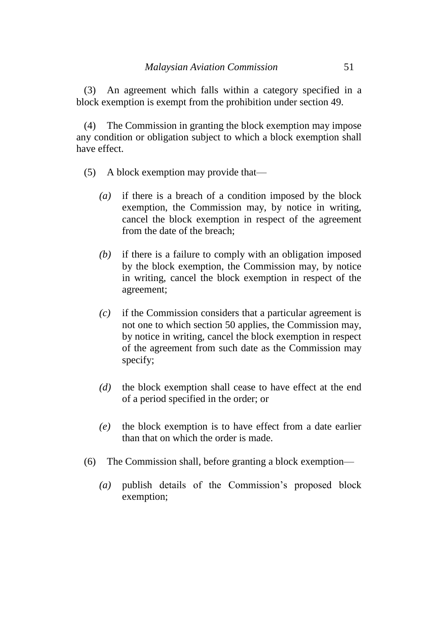(3) An agreement which falls within a category specified in a block exemption is exempt from the prohibition under section 49.

(4) The Commission in granting the block exemption may impose any condition or obligation subject to which a block exemption shall have effect.

- (5) A block exemption may provide that—
	- *(a)* if there is a breach of a condition imposed by the block exemption, the Commission may, by notice in writing, cancel the block exemption in respect of the agreement from the date of the breach;
	- *(b)* if there is a failure to comply with an obligation imposed by the block exemption, the Commission may, by notice in writing, cancel the block exemption in respect of the agreement;
	- *(c)* if the Commission considers that a particular agreement is not one to which section 50 applies, the Commission may, by notice in writing, cancel the block exemption in respect of the agreement from such date as the Commission may specify;
	- *(d)* the block exemption shall cease to have effect at the end of a period specified in the order; or
	- *(e)* the block exemption is to have effect from a date earlier than that on which the order is made.
- (6) The Commission shall, before granting a block exemption—
	- *(a)* publish details of the Commission's proposed block exemption;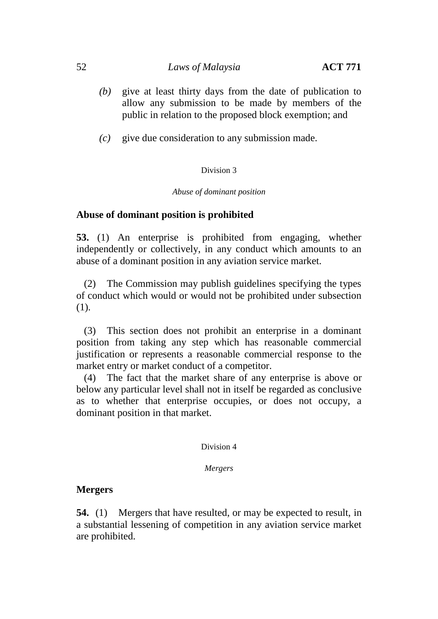- *(b)* give at least thirty days from the date of publication to allow any submission to be made by members of the public in relation to the proposed block exemption; and
- *(c)* give due consideration to any submission made.

#### Division 3

#### *Abuse of dominant position*

## **Abuse of dominant position is prohibited**

**53.** (1) An enterprise is prohibited from engaging, whether independently or collectively, in any conduct which amounts to an abuse of a dominant position in any aviation service market.

(2) The Commission may publish guidelines specifying the types of conduct which would or would not be prohibited under subsection (1).

(3) This section does not prohibit an enterprise in a dominant position from taking any step which has reasonable commercial justification or represents a reasonable commercial response to the market entry or market conduct of a competitor.

(4) The fact that the market share of any enterprise is above or below any particular level shall not in itself be regarded as conclusive as to whether that enterprise occupies, or does not occupy, a dominant position in that market.

Division 4

*Mergers*

## **Mergers**

**54.** (1) Mergers that have resulted, or may be expected to result, in a substantial lessening of competition in any aviation service market are prohibited.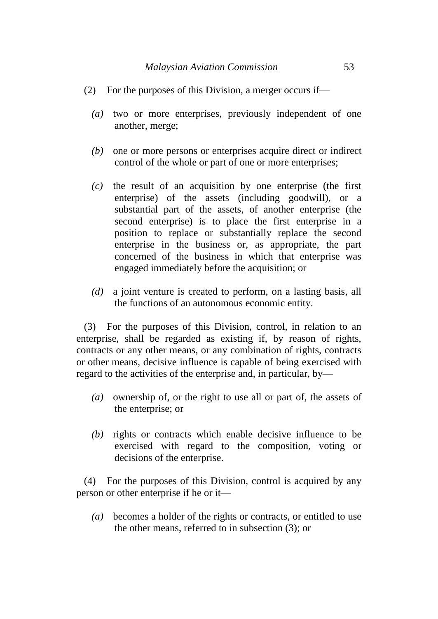- (2) For the purposes of this Division, a merger occurs if—
	- *(a)* two or more enterprises, previously independent of one another, merge;
	- *(b)* one or more persons or enterprises acquire direct or indirect control of the whole or part of one or more enterprises;
	- *(c)* the result of an acquisition by one enterprise (the first enterprise) of the assets (including goodwill), or a substantial part of the assets, of another enterprise (the second enterprise) is to place the first enterprise in a position to replace or substantially replace the second enterprise in the business or, as appropriate, the part concerned of the business in which that enterprise was engaged immediately before the acquisition; or
	- *(d)* a joint venture is created to perform, on a lasting basis, all the functions of an autonomous economic entity.

(3) For the purposes of this Division, control, in relation to an enterprise, shall be regarded as existing if, by reason of rights, contracts or any other means, or any combination of rights, contracts or other means, decisive influence is capable of being exercised with regard to the activities of the enterprise and, in particular, by—

- *(a)* ownership of, or the right to use all or part of, the assets of the enterprise; or
- *(b)* rights or contracts which enable decisive influence to be exercised with regard to the composition, voting or decisions of the enterprise.

(4) For the purposes of this Division, control is acquired by any person or other enterprise if he or it—

*(a)* becomes a holder of the rights or contracts, or entitled to use the other means, referred to in subsection (3); or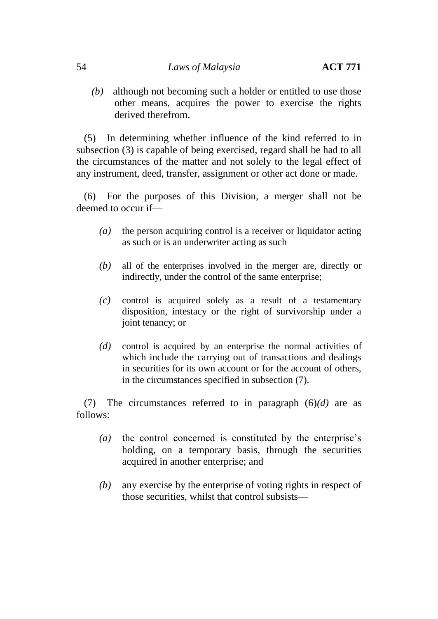*(b)* although not becoming such a holder or entitled to use those other means, acquires the power to exercise the rights derived therefrom.

(5) In determining whether influence of the kind referred to in subsection (3) is capable of being exercised, regard shall be had to all the circumstances of the matter and not solely to the legal effect of any instrument, deed, transfer, assignment or other act done or made.

(6) For the purposes of this Division, a merger shall not be deemed to occur if—

- *(a)* the person acquiring control is a receiver or liquidator acting as such or is an underwriter acting as such
- *(b)* all of the enterprises involved in the merger are, directly or indirectly, under the control of the same enterprise;
- *(c)* control is acquired solely as a result of a testamentary disposition, intestacy or the right of survivorship under a joint tenancy; or
- *(d)* control is acquired by an enterprise the normal activities of which include the carrying out of transactions and dealings in securities for its own account or for the account of others, in the circumstances specified in subsection (7).

(7) The circumstances referred to in paragraph (6)*(d)* are as follows:

- *(a)* the control concerned is constituted by the enterprise's holding, on a temporary basis, through the securities acquired in another enterprise; and
- *(b)* any exercise by the enterprise of voting rights in respect of those securities, whilst that control subsists—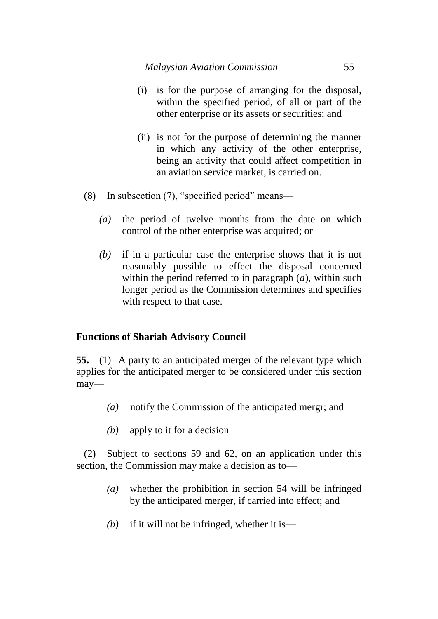- (i) is for the purpose of arranging for the disposal, within the specified period, of all or part of the other enterprise or its assets or securities; and
- (ii) is not for the purpose of determining the manner in which any activity of the other enterprise, being an activity that could affect competition in an aviation service market, is carried on.
- (8) In subsection (7), "specified period" means—
	- *(a)* the period of twelve months from the date on which control of the other enterprise was acquired; or
	- *(b)* if in a particular case the enterprise shows that it is not reasonably possible to effect the disposal concerned within the period referred to in paragraph (*a*), within such longer period as the Commission determines and specifies with respect to that case.

# **Functions of Shariah Advisory Council**

**55.** (1) A party to an anticipated merger of the relevant type which applies for the anticipated merger to be considered under this section may—

- *(a)* notify the Commission of the anticipated mergr; and
- *(b)* apply to it for a decision

(2) Subject to sections 59 and 62, on an application under this section, the Commission may make a decision as to—

- *(a)* whether the prohibition in section 54 will be infringed by the anticipated merger, if carried into effect; and
- *(b)* if it will not be infringed, whether it is—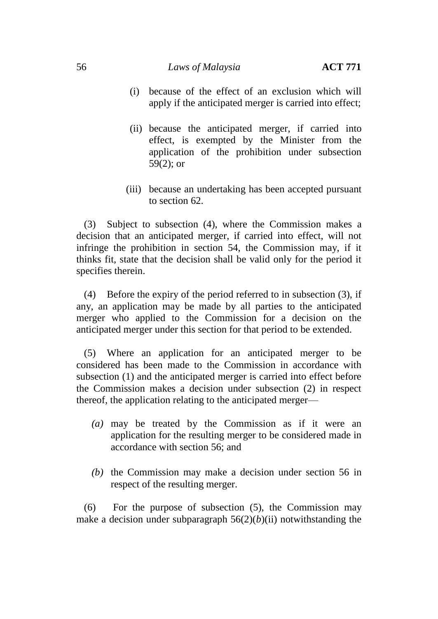#### 56 *Laws of Malaysia* **ACT 771**

- (i) because of the effect of an exclusion which will apply if the anticipated merger is carried into effect;
- (ii) because the anticipated merger, if carried into effect, is exempted by the Minister from the application of the prohibition under subsection 59(2); or
- (iii) because an undertaking has been accepted pursuant to section 62.

(3) Subject to subsection (4), where the Commission makes a decision that an anticipated merger, if carried into effect, will not infringe the prohibition in section 54, the Commission may, if it thinks fit, state that the decision shall be valid only for the period it specifies therein.

(4) Before the expiry of the period referred to in subsection (3), if any, an application may be made by all parties to the anticipated merger who applied to the Commission for a decision on the anticipated merger under this section for that period to be extended.

(5) Where an application for an anticipated merger to be considered has been made to the Commission in accordance with subsection (1) and the anticipated merger is carried into effect before the Commission makes a decision under subsection (2) in respect thereof, the application relating to the anticipated merger—

- *(a)* may be treated by the Commission as if it were an application for the resulting merger to be considered made in accordance with section 56; and
- *(b)* the Commission may make a decision under section 56 in respect of the resulting merger.

(6) For the purpose of subsection (5), the Commission may make a decision under subparagraph  $56(2)(b)(ii)$  notwithstanding the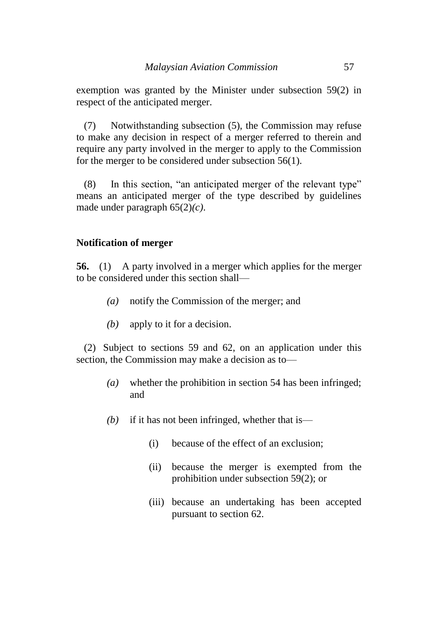exemption was granted by the Minister under subsection 59(2) in respect of the anticipated merger.

(7) Notwithstanding subsection (5), the Commission may refuse to make any decision in respect of a merger referred to therein and require any party involved in the merger to apply to the Commission for the merger to be considered under subsection 56(1).

(8) In this section, "an anticipated merger of the relevant type" means an anticipated merger of the type described by guidelines made under paragraph 65(2)*(c)*.

#### **Notification of merger**

**56.** (1) A party involved in a merger which applies for the merger to be considered under this section shall—

- *(a)* notify the Commission of the merger; and
- *(b)* apply to it for a decision.

(2) Subject to sections 59 and 62, on an application under this section, the Commission may make a decision as to—

- *(a)* whether the prohibition in section 54 has been infringed; and
- *(b)* if it has not been infringed, whether that is—
	- (i) because of the effect of an exclusion;
	- (ii) because the merger is exempted from the prohibition under subsection 59(2); or
	- (iii) because an undertaking has been accepted pursuant to section 62.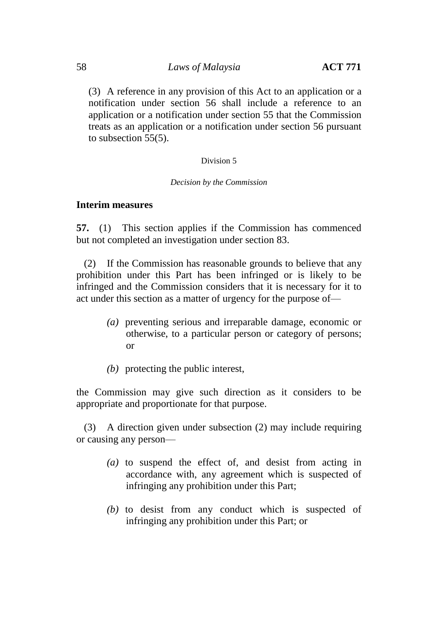(3) A reference in any provision of this Act to an application or a notification under section 56 shall include a reference to an application or a notification under section 55 that the Commission treats as an application or a notification under section 56 pursuant to subsection 55(5).

#### Division 5

#### *Decision by the Commission*

#### **Interim measures**

**57.** (1) This section applies if the Commission has commenced but not completed an investigation under section 83.

(2) If the Commission has reasonable grounds to believe that any prohibition under this Part has been infringed or is likely to be infringed and the Commission considers that it is necessary for it to act under this section as a matter of urgency for the purpose of—

- *(a)* preventing serious and irreparable damage, economic or otherwise, to a particular person or category of persons; or
- *(b)* protecting the public interest,

the Commission may give such direction as it considers to be appropriate and proportionate for that purpose.

(3) A direction given under subsection (2) may include requiring or causing any person—

- *(a)* to suspend the effect of, and desist from acting in accordance with, any agreement which is suspected of infringing any prohibition under this Part;
- *(b)* to desist from any conduct which is suspected of infringing any prohibition under this Part; or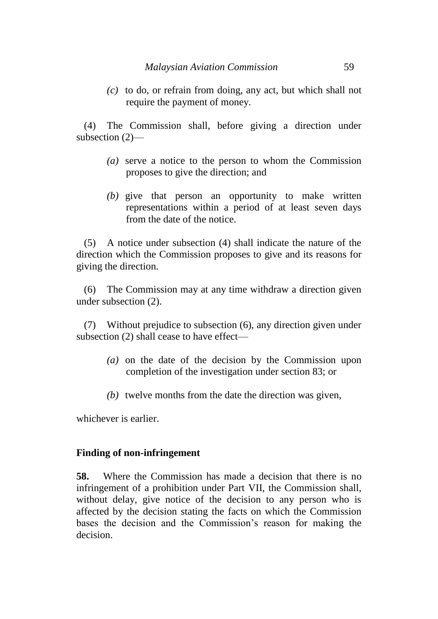*(c)* to do, or refrain from doing, any act, but which shall not require the payment of money.

(4) The Commission shall, before giving a direction under subsection (2)—

- *(a)* serve a notice to the person to whom the Commission proposes to give the direction; and
- *(b)* give that person an opportunity to make written representations within a period of at least seven days from the date of the notice.

(5) A notice under subsection (4) shall indicate the nature of the direction which the Commission proposes to give and its reasons for giving the direction.

(6) The Commission may at any time withdraw a direction given under subsection (2).

(7) Without prejudice to subsection (6), any direction given under subsection (2) shall cease to have effect—

- *(a)* on the date of the decision by the Commission upon completion of the investigation under section 83; or
- *(b)* twelve months from the date the direction was given,

whichever is earlier.

## **Finding of non-infringement**

**58.** Where the Commission has made a decision that there is no infringement of a prohibition under Part VII, the Commission shall, without delay, give notice of the decision to any person who is affected by the decision stating the facts on which the Commission bases the decision and the Commission's reason for making the decision.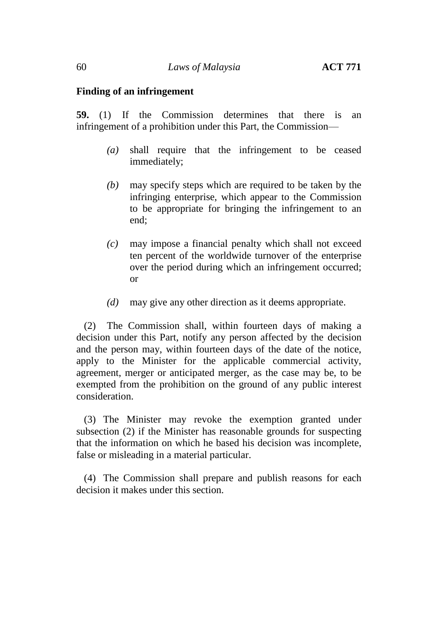#### **Finding of an infringement**

**59.** (1) If the Commission determines that there is an infringement of a prohibition under this Part, the Commission—

- *(a)* shall require that the infringement to be ceased immediately;
- *(b)* may specify steps which are required to be taken by the infringing enterprise, which appear to the Commission to be appropriate for bringing the infringement to an end;
- *(c)* may impose a financial penalty which shall not exceed ten percent of the worldwide turnover of the enterprise over the period during which an infringement occurred; or
- *(d)* may give any other direction as it deems appropriate.

(2) The Commission shall, within fourteen days of making a decision under this Part, notify any person affected by the decision and the person may, within fourteen days of the date of the notice, apply to the Minister for the applicable commercial activity, agreement, merger or anticipated merger, as the case may be, to be exempted from the prohibition on the ground of any public interest consideration.

(3) The Minister may revoke the exemption granted under subsection (2) if the Minister has reasonable grounds for suspecting that the information on which he based his decision was incomplete, false or misleading in a material particular.

(4) The Commission shall prepare and publish reasons for each decision it makes under this section.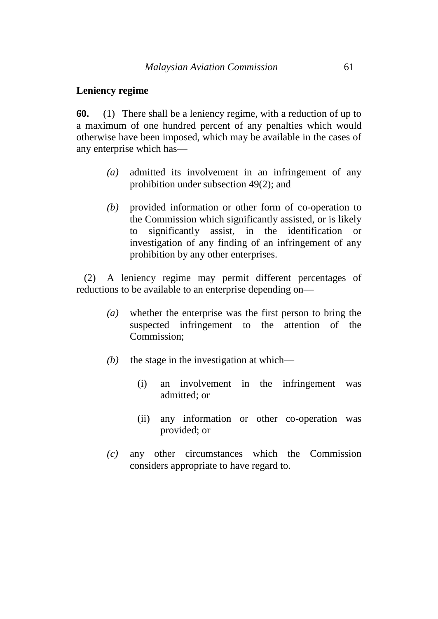#### **Leniency regime**

**60.** (1) There shall be a leniency regime, with a reduction of up to a maximum of one hundred percent of any penalties which would otherwise have been imposed, which may be available in the cases of any enterprise which has—

- *(a)* admitted its involvement in an infringement of any prohibition under subsection 49(2); and
- *(b)* provided information or other form of co-operation to the Commission which significantly assisted, or is likely to significantly assist, in the identification or investigation of any finding of an infringement of any prohibition by any other enterprises.

(2) A leniency regime may permit different percentages of reductions to be available to an enterprise depending on—

- *(a)* whether the enterprise was the first person to bring the suspected infringement to the attention of the Commission;
- *(b)* the stage in the investigation at which—
	- (i) an involvement in the infringement was admitted; or
	- (ii) any information or other co-operation was provided; or
- *(c)* any other circumstances which the Commission considers appropriate to have regard to.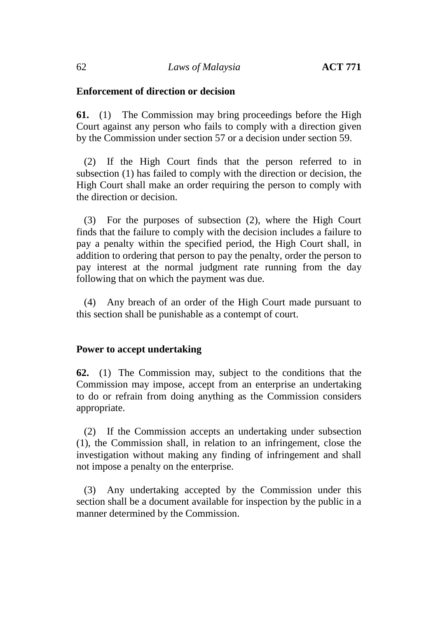## **Enforcement of direction or decision**

**61.** (1) The Commission may bring proceedings before the High Court against any person who fails to comply with a direction given by the Commission under section 57 or a decision under section 59.

(2) If the High Court finds that the person referred to in subsection (1) has failed to comply with the direction or decision, the High Court shall make an order requiring the person to comply with the direction or decision.

(3) For the purposes of subsection (2), where the High Court finds that the failure to comply with the decision includes a failure to pay a penalty within the specified period, the High Court shall, in addition to ordering that person to pay the penalty, order the person to pay interest at the normal judgment rate running from the day following that on which the payment was due.

(4) Any breach of an order of the High Court made pursuant to this section shall be punishable as a contempt of court.

## **Power to accept undertaking**

**62.** (1) The Commission may, subject to the conditions that the Commission may impose, accept from an enterprise an undertaking to do or refrain from doing anything as the Commission considers appropriate.

(2) If the Commission accepts an undertaking under subsection (1), the Commission shall, in relation to an infringement, close the investigation without making any finding of infringement and shall not impose a penalty on the enterprise.

(3) Any undertaking accepted by the Commission under this section shall be a document available for inspection by the public in a manner determined by the Commission.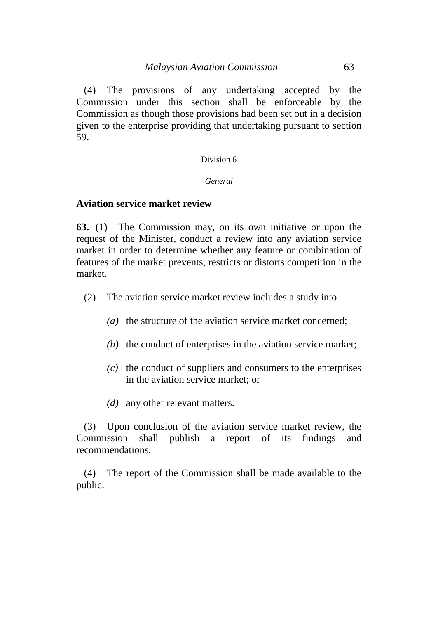(4) The provisions of any undertaking accepted by the Commission under this section shall be enforceable by the Commission as though those provisions had been set out in a decision given to the enterprise providing that undertaking pursuant to section 59.

#### Division 6

#### *General*

## **Aviation service market review**

**63.** (1) The Commission may, on its own initiative or upon the request of the Minister, conduct a review into any aviation service market in order to determine whether any feature or combination of features of the market prevents, restricts or distorts competition in the market.

- (2) The aviation service market review includes a study into—
	- *(a)* the structure of the aviation service market concerned;
	- *(b)* the conduct of enterprises in the aviation service market;
	- *(c)* the conduct of suppliers and consumers to the enterprises in the aviation service market; or
	- *(d)* any other relevant matters.

(3) Upon conclusion of the aviation service market review, the Commission shall publish a report of its findings and recommendations.

(4) The report of the Commission shall be made available to the public.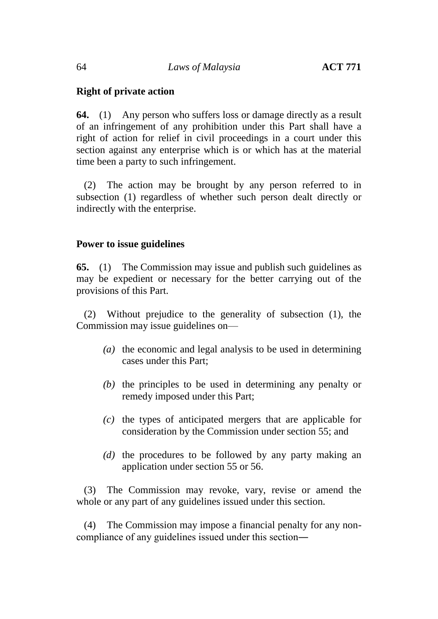# **Right of private action**

**64.** (1) Any person who suffers loss or damage directly as a result of an infringement of any prohibition under this Part shall have a right of action for relief in civil proceedings in a court under this section against any enterprise which is or which has at the material time been a party to such infringement.

(2) The action may be brought by any person referred to in subsection (1) regardless of whether such person dealt directly or indirectly with the enterprise.

#### **Power to issue guidelines**

**65.** (1) The Commission may issue and publish such guidelines as may be expedient or necessary for the better carrying out of the provisions of this Part.

(2) Without prejudice to the generality of subsection (1), the Commission may issue guidelines on—

- *(a)* the economic and legal analysis to be used in determining cases under this Part;
- *(b)* the principles to be used in determining any penalty or remedy imposed under this Part;
- *(c)* the types of anticipated mergers that are applicable for consideration by the Commission under section 55; and
- *(d)* the procedures to be followed by any party making an application under section 55 or 56.

(3) The Commission may revoke, vary, revise or amend the whole or any part of any guidelines issued under this section.

(4) The Commission may impose a financial penalty for any noncompliance of any guidelines issued under this section―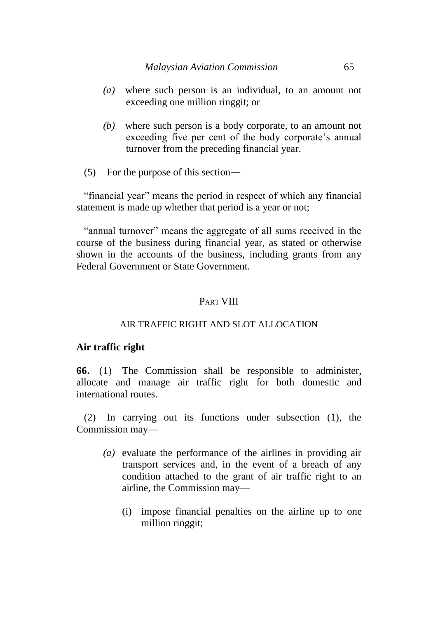- *(a)* where such person is an individual, to an amount not exceeding one million ringgit; or
- *(b)* where such person is a body corporate, to an amount not exceeding five per cent of the body corporate's annual turnover from the preceding financial year.
- (5) For the purpose of this section―

"financial year" means the period in respect of which any financial statement is made up whether that period is a year or not;

"annual turnover" means the aggregate of all sums received in the course of the business during financial year, as stated or otherwise shown in the accounts of the business, including grants from any Federal Government or State Government.

# PART VIII

## AIR TRAFFIC RIGHT AND SLOT ALLOCATION

## **Air traffic right**

**66.** (1) The Commission shall be responsible to administer, allocate and manage air traffic right for both domestic and international routes.

(2) In carrying out its functions under subsection (1), the Commission may—

- *(a)* evaluate the performance of the airlines in providing air transport services and, in the event of a breach of any condition attached to the grant of air traffic right to an airline, the Commission may—
	- (i) impose financial penalties on the airline up to one million ringgit;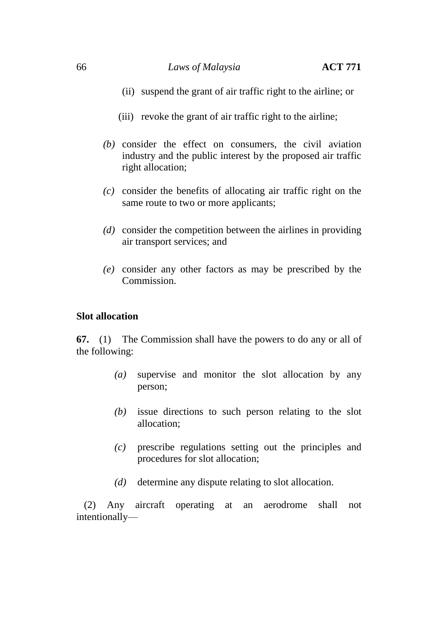#### 66 *Laws of Malaysia* **ACT 771**

- (ii) suspend the grant of air traffic right to the airline; or
- (iii) revoke the grant of air traffic right to the airline;
- *(b)* consider the effect on consumers, the civil aviation industry and the public interest by the proposed air traffic right allocation;
- *(c)* consider the benefits of allocating air traffic right on the same route to two or more applicants;
- *(d)* consider the competition between the airlines in providing air transport services; and
- *(e)* consider any other factors as may be prescribed by the Commission.

## **Slot allocation**

**67.** (1) The Commission shall have the powers to do any or all of the following:

- *(a)* supervise and monitor the slot allocation by any person;
- *(b)* issue directions to such person relating to the slot allocation;
- *(c)* prescribe regulations setting out the principles and procedures for slot allocation;
- *(d)* determine any dispute relating to slot allocation.

(2) Any aircraft operating at an aerodrome shall not intentionally—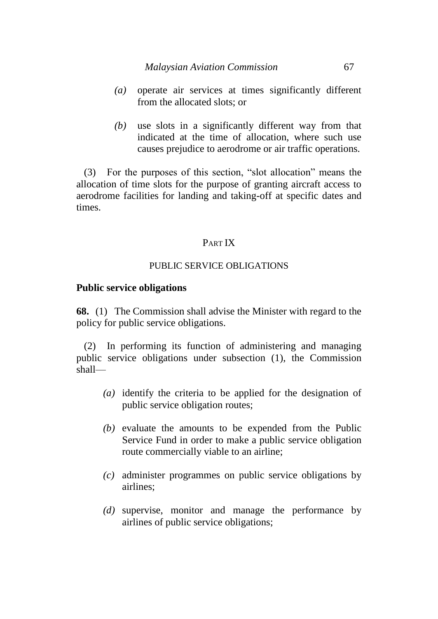- *(a)* operate air services at times significantly different from the allocated slots; or
- *(b)* use slots in a significantly different way from that indicated at the time of allocation, where such use causes prejudice to aerodrome or air traffic operations.

(3) For the purposes of this section, "slot allocation" means the allocation of time slots for the purpose of granting aircraft access to aerodrome facilities for landing and taking-off at specific dates and times.

## PART IX

## PUBLIC SERVICE OBLIGATIONS

#### **Public service obligations**

**68.** (1) The Commission shall advise the Minister with regard to the policy for public service obligations.

(2) In performing its function of administering and managing public service obligations under subsection (1), the Commission shall—

- *(a)* identify the criteria to be applied for the designation of public service obligation routes;
- *(b)* evaluate the amounts to be expended from the Public Service Fund in order to make a public service obligation route commercially viable to an airline;
- *(c)* administer programmes on public service obligations by airlines;
- *(d)* supervise, monitor and manage the performance by airlines of public service obligations;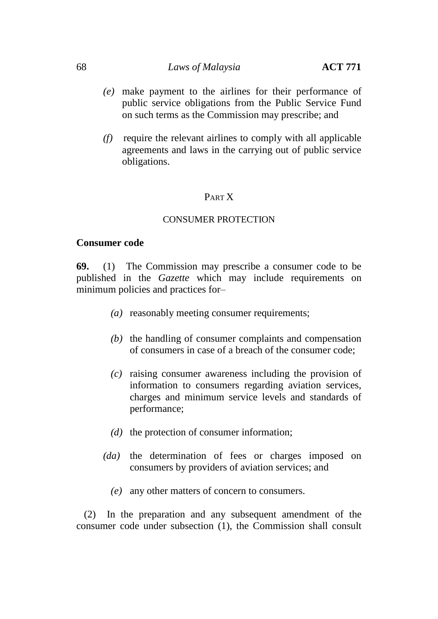#### 68 *Laws of Malaysia* **ACT 771**

- *(e)* make payment to the airlines for their performance of public service obligations from the Public Service Fund on such terms as the Commission may prescribe; and
- *(f)* require the relevant airlines to comply with all applicable agreements and laws in the carrying out of public service obligations.

## PART X

#### CONSUMER PROTECTION

#### **Consumer code**

**69.** (1) The Commission may prescribe a consumer code to be published in the *Gazette* which may include requirements on minimum policies and practices for–

- *(a)* reasonably meeting consumer requirements;
- *(b)* the handling of consumer complaints and compensation of consumers in case of a breach of the consumer code;
- *(c)* raising consumer awareness including the provision of information to consumers regarding aviation services, charges and minimum service levels and standards of performance;
- *(d)* the protection of consumer information;
- *(da)* the determination of fees or charges imposed on consumers by providers of aviation services; and
	- *(e)* any other matters of concern to consumers.

(2) In the preparation and any subsequent amendment of the consumer code under subsection (1), the Commission shall consult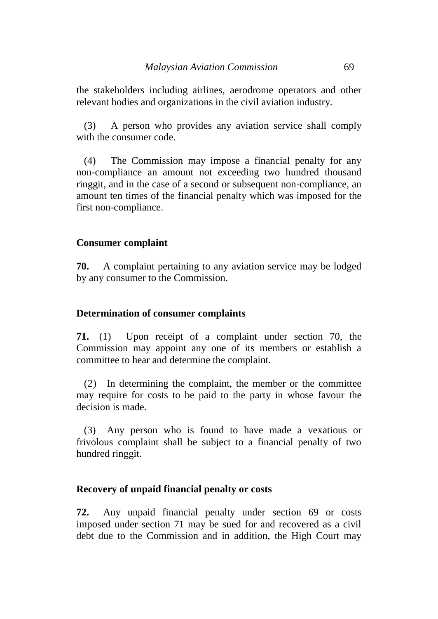the stakeholders including airlines, aerodrome operators and other relevant bodies and organizations in the civil aviation industry.

(3) A person who provides any aviation service shall comply with the consumer code.

(4) The Commission may impose a financial penalty for any non-compliance an amount not exceeding two hundred thousand ringgit, and in the case of a second or subsequent non-compliance, an amount ten times of the financial penalty which was imposed for the first non-compliance.

## **Consumer complaint**

**70.** A complaint pertaining to any aviation service may be lodged by any consumer to the Commission.

#### **Determination of consumer complaints**

**71.** (1) Upon receipt of a complaint under section 70, the Commission may appoint any one of its members or establish a committee to hear and determine the complaint.

(2) In determining the complaint, the member or the committee may require for costs to be paid to the party in whose favour the decision is made.

(3) Any person who is found to have made a vexatious or frivolous complaint shall be subject to a financial penalty of two hundred ringgit.

## **Recovery of unpaid financial penalty or costs**

**72.** Any unpaid financial penalty under section 69 or costs imposed under section 71 may be sued for and recovered as a civil debt due to the Commission and in addition, the High Court may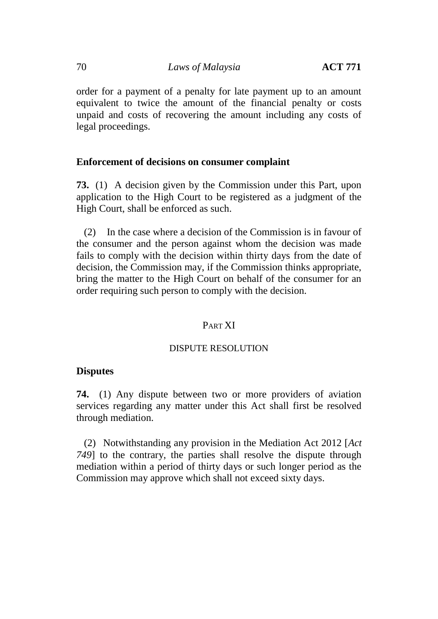order for a payment of a penalty for late payment up to an amount equivalent to twice the amount of the financial penalty or costs unpaid and costs of recovering the amount including any costs of legal proceedings.

## **Enforcement of decisions on consumer complaint**

**73.** (1) A decision given by the Commission under this Part, upon application to the High Court to be registered as a judgment of the High Court, shall be enforced as such.

(2) In the case where a decision of the Commission is in favour of the consumer and the person against whom the decision was made fails to comply with the decision within thirty days from the date of decision, the Commission may, if the Commission thinks appropriate, bring the matter to the High Court on behalf of the consumer for an order requiring such person to comply with the decision.

## PART XI

#### DISPUTE RESOLUTION

## **Disputes**

**74.** (1) Any dispute between two or more providers of aviation services regarding any matter under this Act shall first be resolved through mediation.

(2) Notwithstanding any provision in the Mediation Act 2012 [*Act 749*] to the contrary, the parties shall resolve the dispute through mediation within a period of thirty days or such longer period as the Commission may approve which shall not exceed sixty days.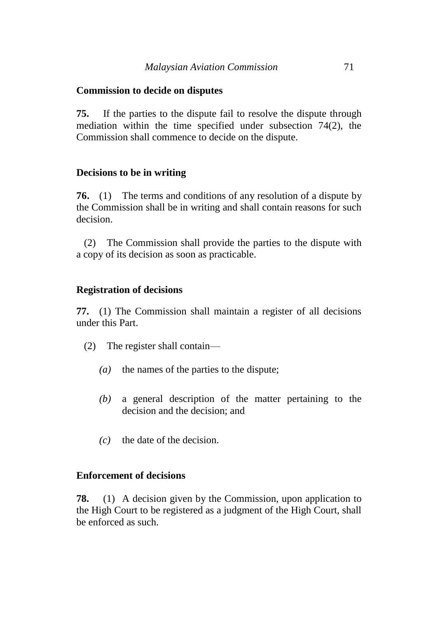## **Commission to decide on disputes**

**75.** If the parties to the dispute fail to resolve the dispute through mediation within the time specified under subsection 74(2), the Commission shall commence to decide on the dispute.

## **Decisions to be in writing**

**76.** (1) The terms and conditions of any resolution of a dispute by the Commission shall be in writing and shall contain reasons for such decision.

(2) The Commission shall provide the parties to the dispute with a copy of its decision as soon as practicable.

# **Registration of decisions**

**77.** (1) The Commission shall maintain a register of all decisions under this Part.

- (2) The register shall contain—
	- *(a)* the names of the parties to the dispute;
	- *(b)* a general description of the matter pertaining to the decision and the decision; and
	- *(c)* the date of the decision.

## **Enforcement of decisions**

**78.** (1) A decision given by the Commission, upon application to the High Court to be registered as a judgment of the High Court, shall be enforced as such.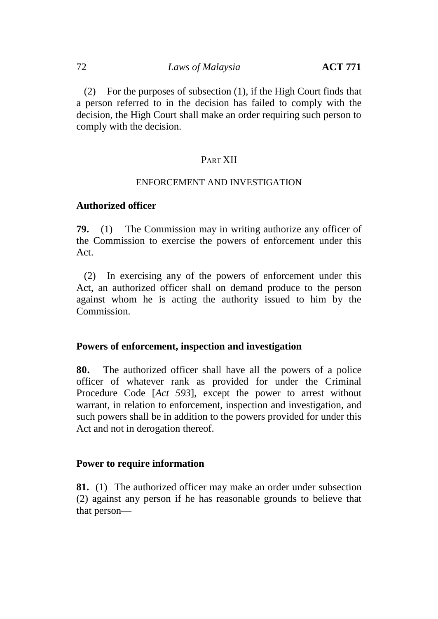(2) For the purposes of subsection (1), if the High Court finds that a person referred to in the decision has failed to comply with the decision, the High Court shall make an order requiring such person to comply with the decision.

# PART XII

#### ENFORCEMENT AND INVESTIGATION

## **Authorized officer**

**79.** (1) The Commission may in writing authorize any officer of the Commission to exercise the powers of enforcement under this Act.

(2) In exercising any of the powers of enforcement under this Act, an authorized officer shall on demand produce to the person against whom he is acting the authority issued to him by the Commission.

## **Powers of enforcement, inspection and investigation**

**80.** The authorized officer shall have all the powers of a police officer of whatever rank as provided for under the Criminal Procedure Code [*Act 593*], except the power to arrest without warrant, in relation to enforcement, inspection and investigation, and such powers shall be in addition to the powers provided for under this Act and not in derogation thereof.

## **Power to require information**

**81.** (1) The authorized officer may make an order under subsection (2) against any person if he has reasonable grounds to believe that that person—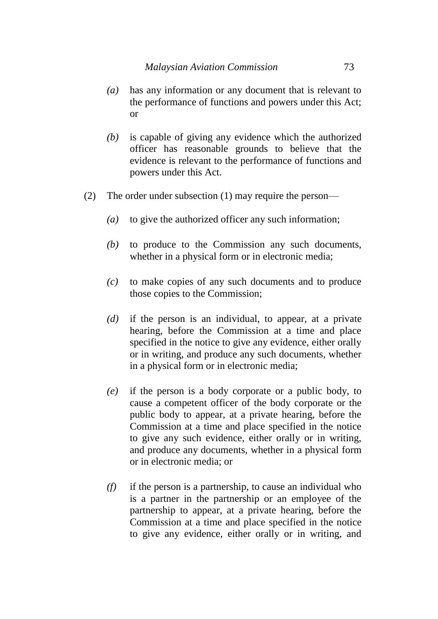- *(a)* has any information or any document that is relevant to the performance of functions and powers under this Act; or
- *(b)* is capable of giving any evidence which the authorized officer has reasonable grounds to believe that the evidence is relevant to the performance of functions and powers under this Act.
- (2) The order under subsection (1) may require the person—
	- *(a)* to give the authorized officer any such information;
	- *(b)* to produce to the Commission any such documents, whether in a physical form or in electronic media;
	- *(c)* to make copies of any such documents and to produce those copies to the Commission;
	- *(d)* if the person is an individual, to appear, at a private hearing, before the Commission at a time and place specified in the notice to give any evidence, either orally or in writing, and produce any such documents, whether in a physical form or in electronic media;
	- *(e)* if the person is a body corporate or a public body, to cause a competent officer of the body corporate or the public body to appear, at a private hearing, before the Commission at a time and place specified in the notice to give any such evidence, either orally or in writing, and produce any documents, whether in a physical form or in electronic media; or
	- *(f)* if the person is a partnership, to cause an individual who is a partner in the partnership or an employee of the partnership to appear, at a private hearing, before the Commission at a time and place specified in the notice to give any evidence, either orally or in writing, and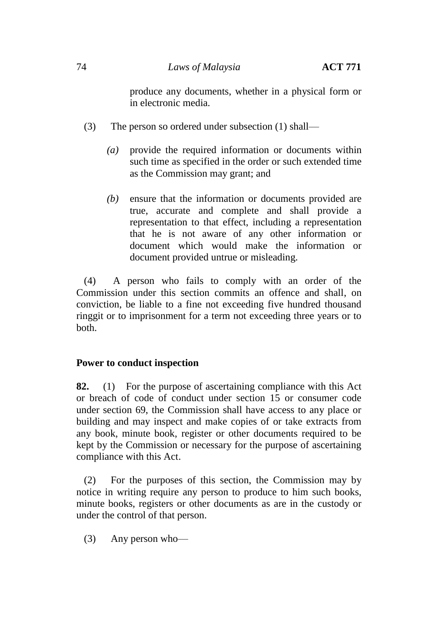produce any documents, whether in a physical form or in electronic media.

- (3) The person so ordered under subsection (1) shall—
	- *(a)* provide the required information or documents within such time as specified in the order or such extended time as the Commission may grant; and
	- *(b)* ensure that the information or documents provided are true, accurate and complete and shall provide a representation to that effect, including a representation that he is not aware of any other information or document which would make the information or document provided untrue or misleading.

(4) A person who fails to comply with an order of the Commission under this section commits an offence and shall, on conviction, be liable to a fine not exceeding five hundred thousand ringgit or to imprisonment for a term not exceeding three years or to both.

# **Power to conduct inspection**

**82.** (1) For the purpose of ascertaining compliance with this Act or breach of code of conduct under section 15 or consumer code under section 69, the Commission shall have access to any place or building and may inspect and make copies of or take extracts from any book, minute book, register or other documents required to be kept by the Commission or necessary for the purpose of ascertaining compliance with this Act.

(2) For the purposes of this section, the Commission may by notice in writing require any person to produce to him such books, minute books, registers or other documents as are in the custody or under the control of that person.

(3) Any person who—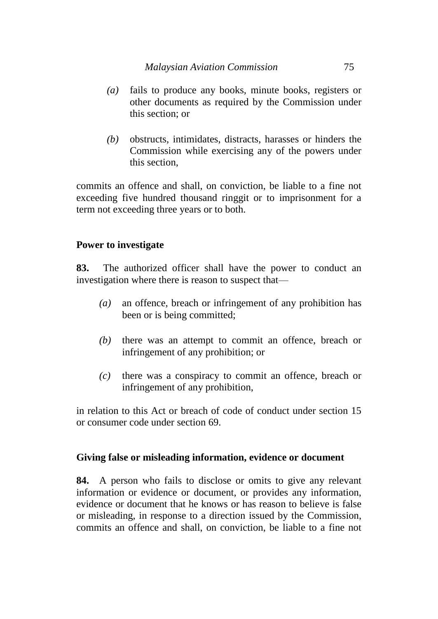- *(a)* fails to produce any books, minute books, registers or other documents as required by the Commission under this section; or
- *(b)* obstructs, intimidates, distracts, harasses or hinders the Commission while exercising any of the powers under this section,

commits an offence and shall, on conviction, be liable to a fine not exceeding five hundred thousand ringgit or to imprisonment for a term not exceeding three years or to both.

# **Power to investigate**

**83.** The authorized officer shall have the power to conduct an investigation where there is reason to suspect that—

- *(a)* an offence, breach or infringement of any prohibition has been or is being committed;
- *(b)* there was an attempt to commit an offence, breach or infringement of any prohibition; or
- *(c)* there was a conspiracy to commit an offence, breach or infringement of any prohibition,

in relation to this Act or breach of code of conduct under section 15 or consumer code under section 69.

## **Giving false or misleading information, evidence or document**

**84.** A person who fails to disclose or omits to give any relevant information or evidence or document, or provides any information, evidence or document that he knows or has reason to believe is false or misleading, in response to a direction issued by the Commission, commits an offence and shall, on conviction, be liable to a fine not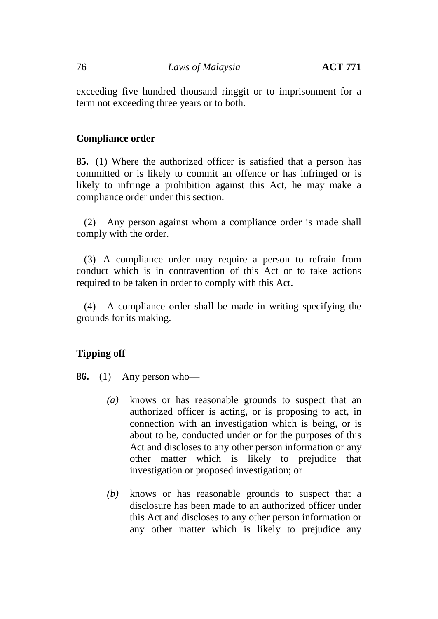exceeding five hundred thousand ringgit or to imprisonment for a term not exceeding three years or to both.

# **Compliance order**

**85.** (1) Where the authorized officer is satisfied that a person has committed or is likely to commit an offence or has infringed or is likely to infringe a prohibition against this Act, he may make a compliance order under this section.

(2) Any person against whom a compliance order is made shall comply with the order.

(3) A compliance order may require a person to refrain from conduct which is in contravention of this Act or to take actions required to be taken in order to comply with this Act.

(4) A compliance order shall be made in writing specifying the grounds for its making.

# **Tipping off**

**86.** (1) Any person who—

- *(a)* knows or has reasonable grounds to suspect that an authorized officer is acting, or is proposing to act, in connection with an investigation which is being, or is about to be, conducted under or for the purposes of this Act and discloses to any other person information or any other matter which is likely to prejudice that investigation or proposed investigation; or
- *(b)* knows or has reasonable grounds to suspect that a disclosure has been made to an authorized officer under this Act and discloses to any other person information or any other matter which is likely to prejudice any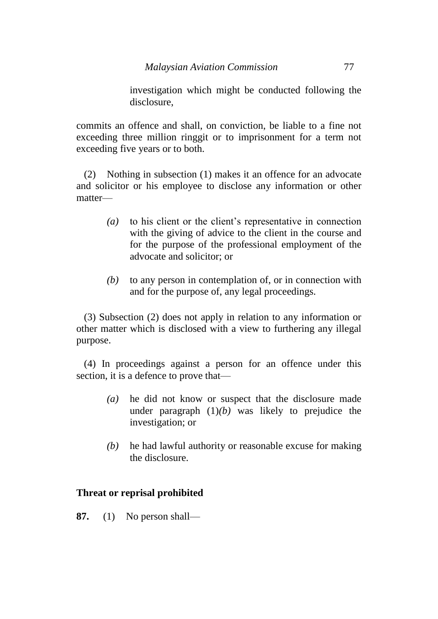investigation which might be conducted following the disclosure,

commits an offence and shall, on conviction, be liable to a fine not exceeding three million ringgit or to imprisonment for a term not exceeding five years or to both.

(2) Nothing in subsection (1) makes it an offence for an advocate and solicitor or his employee to disclose any information or other matter—

- *(a)* to his client or the client's representative in connection with the giving of advice to the client in the course and for the purpose of the professional employment of the advocate and solicitor; or
- *(b)* to any person in contemplation of, or in connection with and for the purpose of, any legal proceedings.

(3) Subsection (2) does not apply in relation to any information or other matter which is disclosed with a view to furthering any illegal purpose.

(4) In proceedings against a person for an offence under this section, it is a defence to prove that—

- *(a)* he did not know or suspect that the disclosure made under paragraph (1)*(b)* was likely to prejudice the investigation; or
- *(b)* he had lawful authority or reasonable excuse for making the disclosure.

# **Threat or reprisal prohibited**

**87.** (1) No person shall—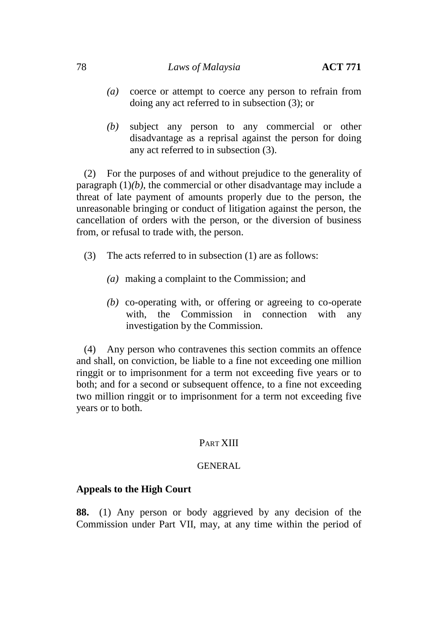## 78 *Laws of Malaysia* **ACT 771**

- *(a)* coerce or attempt to coerce any person to refrain from doing any act referred to in subsection (3); or
- *(b)* subject any person to any commercial or other disadvantage as a reprisal against the person for doing any act referred to in subsection (3).

(2) For the purposes of and without prejudice to the generality of paragraph  $(1)(b)$ , the commercial or other disadvantage may include a threat of late payment of amounts properly due to the person, the unreasonable bringing or conduct of litigation against the person, the cancellation of orders with the person, or the diversion of business from, or refusal to trade with, the person.

- (3) The acts referred to in subsection (1) are as follows:
	- *(a)* making a complaint to the Commission; and
	- *(b)* co-operating with, or offering or agreeing to co-operate with, the Commission in connection with any investigation by the Commission.

(4) Any person who contravenes this section commits an offence and shall, on conviction, be liable to a fine not exceeding one million ringgit or to imprisonment for a term not exceeding five years or to both; and for a second or subsequent offence, to a fine not exceeding two million ringgit or to imprisonment for a term not exceeding five years or to both.

## PART XIII

### GENERAL

## **Appeals to the High Court**

**88.** (1) Any person or body aggrieved by any decision of the Commission under Part VII, may, at any time within the period of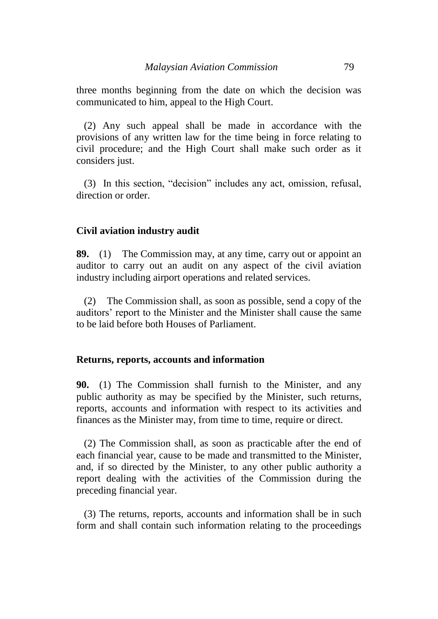three months beginning from the date on which the decision was communicated to him, appeal to the High Court.

(2) Any such appeal shall be made in accordance with the provisions of any written law for the time being in force relating to civil procedure; and the High Court shall make such order as it considers just.

(3) In this section, "decision" includes any act, omission, refusal, direction or order.

## **Civil aviation industry audit**

**89.** (1) The Commission may, at any time, carry out or appoint an auditor to carry out an audit on any aspect of the civil aviation industry including airport operations and related services.

(2) The Commission shall, as soon as possible, send a copy of the auditors' report to the Minister and the Minister shall cause the same to be laid before both Houses of Parliament.

## **Returns, reports, accounts and information**

**90.** (1) The Commission shall furnish to the Minister, and any public authority as may be specified by the Minister, such returns, reports, accounts and information with respect to its activities and finances as the Minister may, from time to time, require or direct.

(2) The Commission shall, as soon as practicable after the end of each financial year, cause to be made and transmitted to the Minister, and, if so directed by the Minister, to any other public authority a report dealing with the activities of the Commission during the preceding financial year.

(3) The returns, reports, accounts and information shall be in such form and shall contain such information relating to the proceedings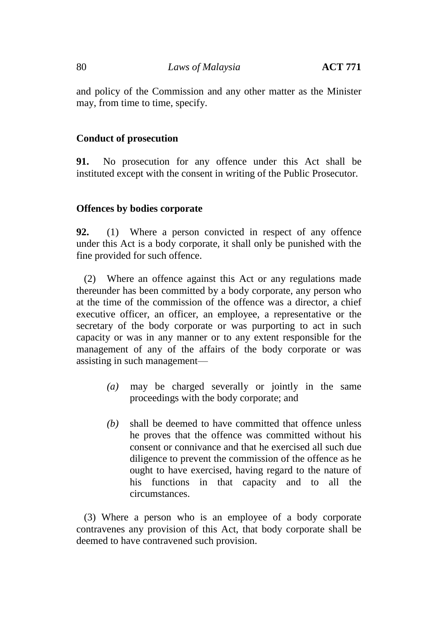and policy of the Commission and any other matter as the Minister may, from time to time, specify.

# **Conduct of prosecution**

**91.** No prosecution for any offence under this Act shall be instituted except with the consent in writing of the Public Prosecutor.

# **Offences by bodies corporate**

**92.** (1) Where a person convicted in respect of any offence under this Act is a body corporate, it shall only be punished with the fine provided for such offence.

(2) Where an offence against this Act or any regulations made thereunder has been committed by a body corporate, any person who at the time of the commission of the offence was a director, a chief executive officer, an officer, an employee, a representative or the secretary of the body corporate or was purporting to act in such capacity or was in any manner or to any extent responsible for the management of any of the affairs of the body corporate or was assisting in such management—

- *(a)* may be charged severally or jointly in the same proceedings with the body corporate; and
- *(b)* shall be deemed to have committed that offence unless he proves that the offence was committed without his consent or connivance and that he exercised all such due diligence to prevent the commission of the offence as he ought to have exercised, having regard to the nature of his functions in that capacity and to all the circumstances.

(3) Where a person who is an employee of a body corporate contravenes any provision of this Act, that body corporate shall be deemed to have contravened such provision.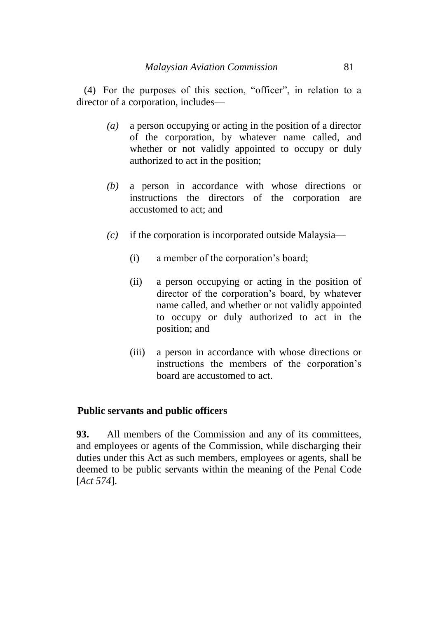(4) For the purposes of this section, "officer", in relation to a director of a corporation, includes—

- *(a)* a person occupying or acting in the position of a director of the corporation, by whatever name called, and whether or not validly appointed to occupy or duly authorized to act in the position;
- *(b)* a person in accordance with whose directions or instructions the directors of the corporation are accustomed to act; and
- *(c)* if the corporation is incorporated outside Malaysia—
	- (i) a member of the corporation's board;
	- (ii) a person occupying or acting in the position of director of the corporation's board, by whatever name called, and whether or not validly appointed to occupy or duly authorized to act in the position; and
	- (iii) a person in accordance with whose directions or instructions the members of the corporation's board are accustomed to act.

## **Public servants and public officers**

**93.** All members of the Commission and any of its committees, and employees or agents of the Commission, while discharging their duties under this Act as such members, employees or agents, shall be deemed to be public servants within the meaning of the Penal Code [*Act 574*].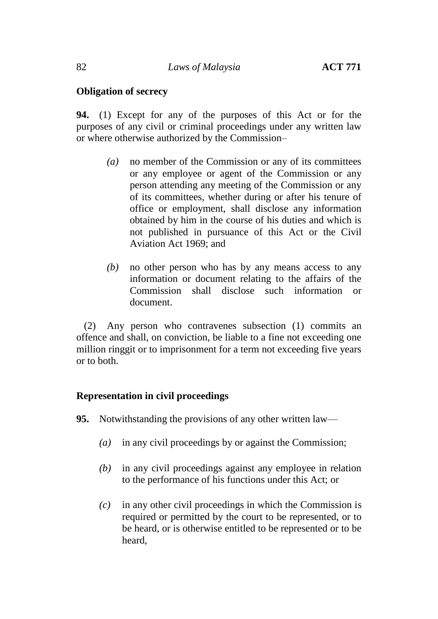# **Obligation of secrecy**

**94.** (1) Except for any of the purposes of this Act or for the purposes of any civil or criminal proceedings under any written law or where otherwise authorized by the Commission–

- *(a)* no member of the Commission or any of its committees or any employee or agent of the Commission or any person attending any meeting of the Commission or any of its committees, whether during or after his tenure of office or employment, shall disclose any information obtained by him in the course of his duties and which is not published in pursuance of this Act or the Civil Aviation Act 1969; and
- *(b)* no other person who has by any means access to any information or document relating to the affairs of the Commission shall disclose such information or document.

(2) Any person who contravenes subsection (1) commits an offence and shall, on conviction, be liable to a fine not exceeding one million ringgit or to imprisonment for a term not exceeding five years or to both.

# **Representation in civil proceedings**

**95.** Notwithstanding the provisions of any other written law—

- *(a)* in any civil proceedings by or against the Commission;
- *(b)* in any civil proceedings against any employee in relation to the performance of his functions under this Act; or
- *(c)* in any other civil proceedings in which the Commission is required or permitted by the court to be represented, or to be heard, or is otherwise entitled to be represented or to be heard,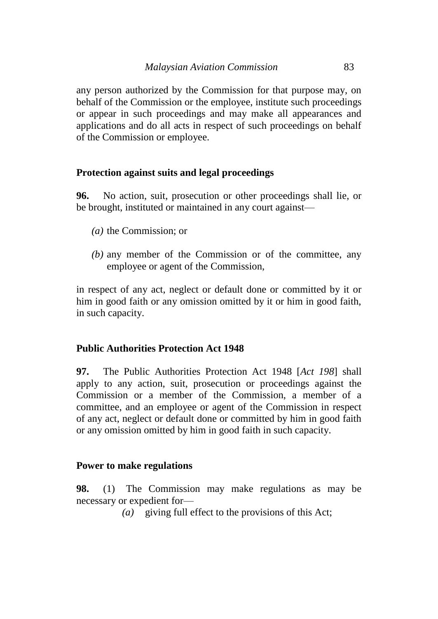any person authorized by the Commission for that purpose may, on behalf of the Commission or the employee, institute such proceedings or appear in such proceedings and may make all appearances and applications and do all acts in respect of such proceedings on behalf of the Commission or employee.

## **Protection against suits and legal proceedings**

**96.** No action, suit, prosecution or other proceedings shall lie, or be brought, instituted or maintained in any court against—

- *(a)* the Commission; or
- *(b)* any member of the Commission or of the committee, any employee or agent of the Commission,

in respect of any act, neglect or default done or committed by it or him in good faith or any omission omitted by it or him in good faith, in such capacity.

### **Public Authorities Protection Act 1948**

**97.** The Public Authorities Protection Act 1948 [*Act 198*] shall apply to any action, suit, prosecution or proceedings against the Commission or a member of the Commission, a member of a committee, and an employee or agent of the Commission in respect of any act, neglect or default done or committed by him in good faith or any omission omitted by him in good faith in such capacity.

### **Power to make regulations**

**98.** (1) The Commission may make regulations as may be necessary or expedient for—

*(a)* giving full effect to the provisions of this Act;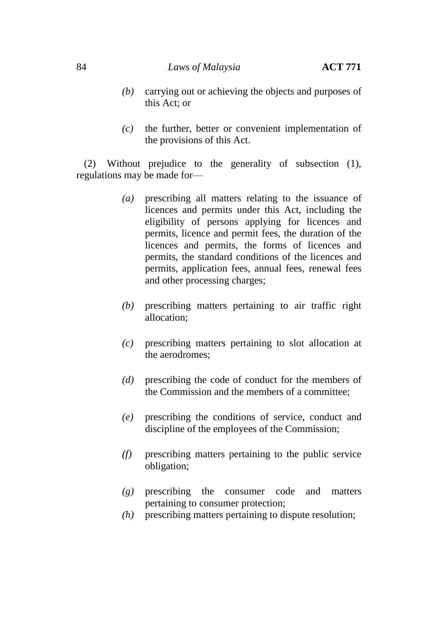## 84 *Laws of Malaysia* **ACT 771**

- *(b)* carrying out or achieving the objects and purposes of this Act; or
- *(c)* the further, better or convenient implementation of the provisions of this Act.

(2) Without prejudice to the generality of subsection (1), regulations may be made for—

- *(a)* prescribing all matters relating to the issuance of licences and permits under this Act, including the eligibility of persons applying for licences and permits, licence and permit fees, the duration of the licences and permits, the forms of licences and permits, the standard conditions of the licences and permits, application fees, annual fees, renewal fees and other processing charges;
- *(b)* prescribing matters pertaining to air traffic right allocation;
- *(c)* prescribing matters pertaining to slot allocation at the aerodromes;
- *(d)* prescribing the code of conduct for the members of the Commission and the members of a committee;
- *(e)* prescribing the conditions of service, conduct and discipline of the employees of the Commission;
- *(f)* prescribing matters pertaining to the public service obligation;
- *(g)* prescribing the consumer code and matters pertaining to consumer protection;
- *(h)* prescribing matters pertaining to dispute resolution;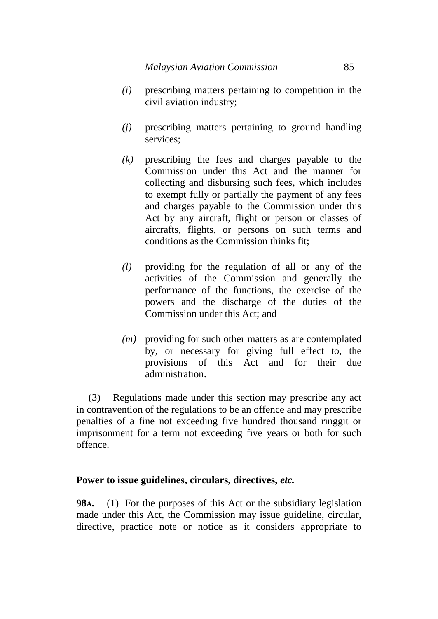- *(i)* prescribing matters pertaining to competition in the civil aviation industry;
- *(j)* prescribing matters pertaining to ground handling services;
- *(k)* prescribing the fees and charges payable to the Commission under this Act and the manner for collecting and disbursing such fees, which includes to exempt fully or partially the payment of any fees and charges payable to the Commission under this Act by any aircraft, flight or person or classes of aircrafts, flights, or persons on such terms and conditions as the Commission thinks fit;
- *(l)* providing for the regulation of all or any of the activities of the Commission and generally the performance of the functions, the exercise of the powers and the discharge of the duties of the Commission under this Act; and
- *(m)* providing for such other matters as are contemplated by, or necessary for giving full effect to, the provisions of this Act and for their due administration.

(3) Regulations made under this section may prescribe any act in contravention of the regulations to be an offence and may prescribe penalties of a fine not exceeding five hundred thousand ringgit or imprisonment for a term not exceeding five years or both for such offence.

## **Power to issue guidelines, circulars, directives,** *etc.*

**98A.** (1) For the purposes of this Act or the subsidiary legislation made under this Act, the Commission may issue guideline, circular, directive, practice note or notice as it considers appropriate to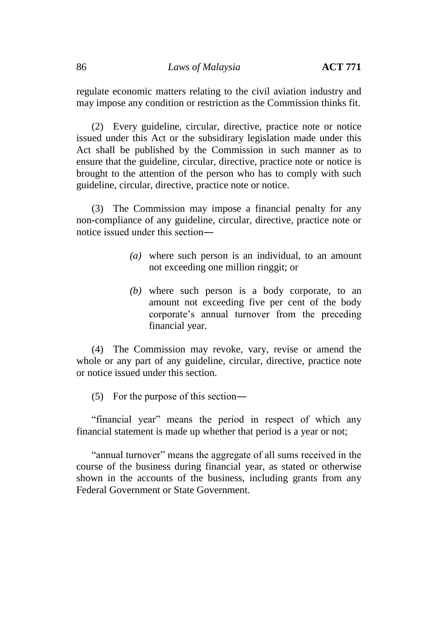regulate economic matters relating to the civil aviation industry and may impose any condition or restriction as the Commission thinks fit.

(2) Every guideline, circular, directive, practice note or notice issued under this Act or the subsidirary legislation made under this Act shall be published by the Commission in such manner as to ensure that the guideline, circular, directive, practice note or notice is brought to the attention of the person who has to comply with such guideline, circular, directive, practice note or notice.

(3) The Commission may impose a financial penalty for any non-compliance of any guideline, circular, directive, practice note or notice issued under this section―

- *(a)* where such person is an individual, to an amount not exceeding one million ringgit; or
- *(b)* where such person is a body corporate, to an amount not exceeding five per cent of the body corporate's annual turnover from the preceding financial year.

(4) The Commission may revoke, vary, revise or amend the whole or any part of any guideline, circular, directive, practice note or notice issued under this section.

(5) For the purpose of this section―

"financial year" means the period in respect of which any financial statement is made up whether that period is a year or not;

"annual turnover" means the aggregate of all sums received in the course of the business during financial year, as stated or otherwise shown in the accounts of the business, including grants from any Federal Government or State Government.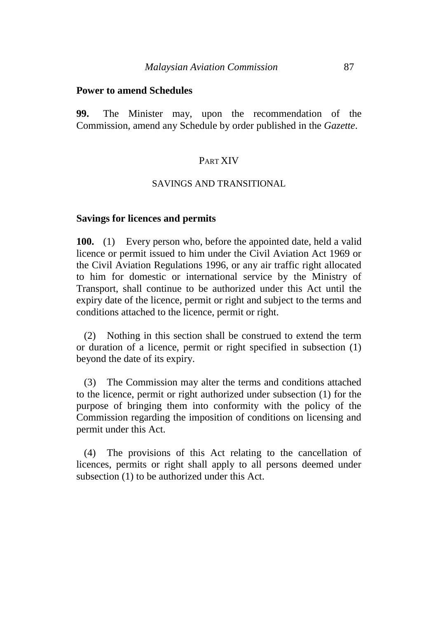### **Power to amend Schedules**

**99.** The Minister may, upon the recommendation of the Commission, amend any Schedule by order published in the *Gazette*.

## PART XIV

### SAVINGS AND TRANSITIONAL

### **Savings for licences and permits**

**100.** (1) Every person who, before the appointed date, held a valid licence or permit issued to him under the Civil Aviation Act 1969 or the Civil Aviation Regulations 1996, or any air traffic right allocated to him for domestic or international service by the Ministry of Transport, shall continue to be authorized under this Act until the expiry date of the licence, permit or right and subject to the terms and conditions attached to the licence, permit or right.

(2) Nothing in this section shall be construed to extend the term or duration of a licence, permit or right specified in subsection (1) beyond the date of its expiry.

(3) The Commission may alter the terms and conditions attached to the licence, permit or right authorized under subsection (1) for the purpose of bringing them into conformity with the policy of the Commission regarding the imposition of conditions on licensing and permit under this Act.

(4) The provisions of this Act relating to the cancellation of licences, permits or right shall apply to all persons deemed under subsection (1) to be authorized under this Act.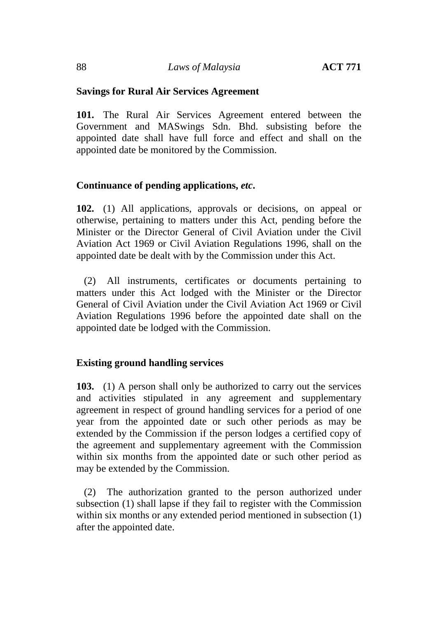## **Savings for Rural Air Services Agreement**

**101.** The Rural Air Services Agreement entered between the Government and MASwings Sdn. Bhd. subsisting before the appointed date shall have full force and effect and shall on the appointed date be monitored by the Commission.

## **Continuance of pending applications,** *etc***.**

**102.** (1) All applications, approvals or decisions, on appeal or otherwise, pertaining to matters under this Act, pending before the Minister or the Director General of Civil Aviation under the Civil Aviation Act 1969 or Civil Aviation Regulations 1996, shall on the appointed date be dealt with by the Commission under this Act.

(2) All instruments, certificates or documents pertaining to matters under this Act lodged with the Minister or the Director General of Civil Aviation under the Civil Aviation Act 1969 or Civil Aviation Regulations 1996 before the appointed date shall on the appointed date be lodged with the Commission.

## **Existing ground handling services**

**103.** (1) A person shall only be authorized to carry out the services and activities stipulated in any agreement and supplementary agreement in respect of ground handling services for a period of one year from the appointed date or such other periods as may be extended by the Commission if the person lodges a certified copy of the agreement and supplementary agreement with the Commission within six months from the appointed date or such other period as may be extended by the Commission.

(2) The authorization granted to the person authorized under subsection (1) shall lapse if they fail to register with the Commission within six months or any extended period mentioned in subsection (1) after the appointed date.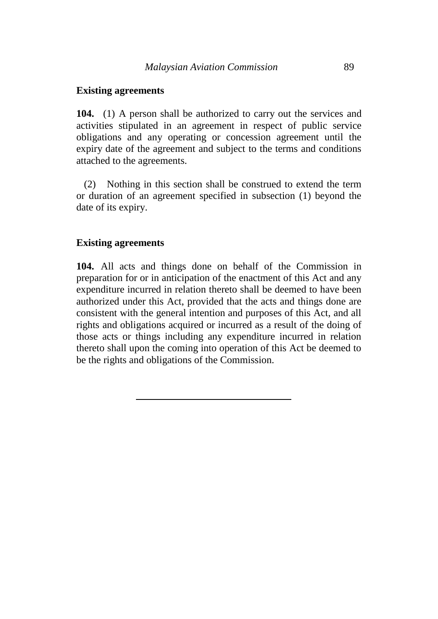## **Existing agreements**

**104.** (1) A person shall be authorized to carry out the services and activities stipulated in an agreement in respect of public service obligations and any operating or concession agreement until the expiry date of the agreement and subject to the terms and conditions attached to the agreements.

(2) Nothing in this section shall be construed to extend the term or duration of an agreement specified in subsection (1) beyond the date of its expiry.

## **Existing agreements**

**104.** All acts and things done on behalf of the Commission in preparation for or in anticipation of the enactment of this Act and any expenditure incurred in relation thereto shall be deemed to have been authorized under this Act, provided that the acts and things done are consistent with the general intention and purposes of this Act, and all rights and obligations acquired or incurred as a result of the doing of those acts or things including any expenditure incurred in relation thereto shall upon the coming into operation of this Act be deemed to be the rights and obligations of the Commission.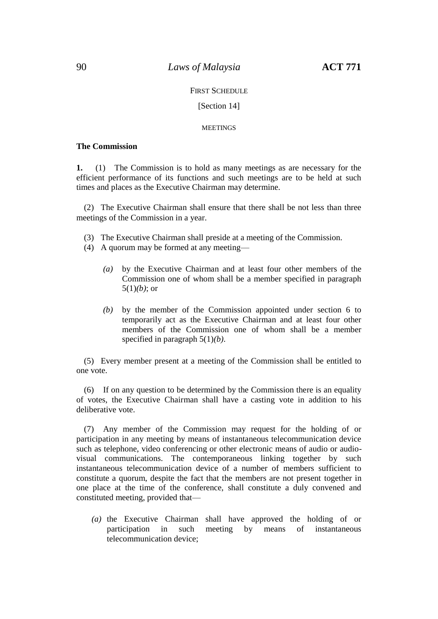### FIRST SCHEDULE

### [Section 14]

#### **MEETINGS**

#### **The Commission**

**1.** (1) The Commission is to hold as many meetings as are necessary for the efficient performance of its functions and such meetings are to be held at such times and places as the Executive Chairman may determine.

(2) The Executive Chairman shall ensure that there shall be not less than three meetings of the Commission in a year.

- (3) The Executive Chairman shall preside at a meeting of the Commission.
- (4) A quorum may be formed at any meeting—
	- *(a)* by the Executive Chairman and at least four other members of the Commission one of whom shall be a member specified in paragraph 5(1)*(b)*; or
	- *(b)* by the member of the Commission appointed under section 6 to temporarily act as the Executive Chairman and at least four other members of the Commission one of whom shall be a member specified in paragraph 5(1)*(b)*.

(5) Every member present at a meeting of the Commission shall be entitled to one vote.

(6) If on any question to be determined by the Commission there is an equality of votes, the Executive Chairman shall have a casting vote in addition to his deliberative vote.

(7) Any member of the Commission may request for the holding of or participation in any meeting by means of instantaneous telecommunication device such as telephone, video conferencing or other electronic means of audio or audiovisual communications. The contemporaneous linking together by such instantaneous telecommunication device of a number of members sufficient to constitute a quorum, despite the fact that the members are not present together in one place at the time of the conference, shall constitute a duly convened and constituted meeting, provided that—

*(a)* the Executive Chairman shall have approved the holding of or participation in such meeting by means of instantaneous telecommunication device;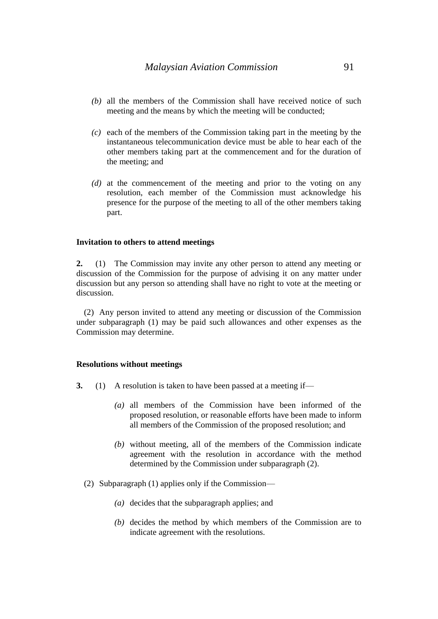- *(b)* all the members of the Commission shall have received notice of such meeting and the means by which the meeting will be conducted;
- *(c)* each of the members of the Commission taking part in the meeting by the instantaneous telecommunication device must be able to hear each of the other members taking part at the commencement and for the duration of the meeting; and
- *(d)* at the commencement of the meeting and prior to the voting on any resolution, each member of the Commission must acknowledge his presence for the purpose of the meeting to all of the other members taking part.

#### **Invitation to others to attend meetings**

**2.** (1) The Commission may invite any other person to attend any meeting or discussion of the Commission for the purpose of advising it on any matter under discussion but any person so attending shall have no right to vote at the meeting or discussion.

(2) Any person invited to attend any meeting or discussion of the Commission under subparagraph (1) may be paid such allowances and other expenses as the Commission may determine.

#### **Resolutions without meetings**

- **3.** (1) A resolution is taken to have been passed at a meeting if—
	- *(a)* all members of the Commission have been informed of the proposed resolution, or reasonable efforts have been made to inform all members of the Commission of the proposed resolution; and
	- *(b)* without meeting, all of the members of the Commission indicate agreement with the resolution in accordance with the method determined by the Commission under subparagraph (2).
	- (2) Subparagraph (1) applies only if the Commission—
		- *(a)* decides that the subparagraph applies; and
		- *(b)* decides the method by which members of the Commission are to indicate agreement with the resolutions.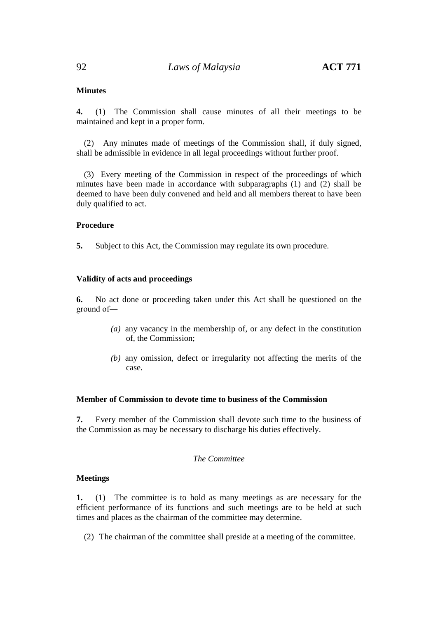### **Minutes**

**4.** (1) The Commission shall cause minutes of all their meetings to be maintained and kept in a proper form.

(2) Any minutes made of meetings of the Commission shall, if duly signed, shall be admissible in evidence in all legal proceedings without further proof.

(3) Every meeting of the Commission in respect of the proceedings of which minutes have been made in accordance with subparagraphs (1) and (2) shall be deemed to have been duly convened and held and all members thereat to have been duly qualified to act.

### **Procedure**

**5.** Subject to this Act, the Commission may regulate its own procedure.

### **Validity of acts and proceedings**

**6.** No act done or proceeding taken under this Act shall be questioned on the ground of―

- *(a)* any vacancy in the membership of, or any defect in the constitution of, the Commission;
- *(b)* any omission, defect or irregularity not affecting the merits of the case.

### **Member of Commission to devote time to business of the Commission**

**7.** Every member of the Commission shall devote such time to the business of the Commission as may be necessary to discharge his duties effectively.

### *The Committee*

### **Meetings**

**1.** (1) The committee is to hold as many meetings as are necessary for the efficient performance of its functions and such meetings are to be held at such times and places as the chairman of the committee may determine.

(2) The chairman of the committee shall preside at a meeting of the committee.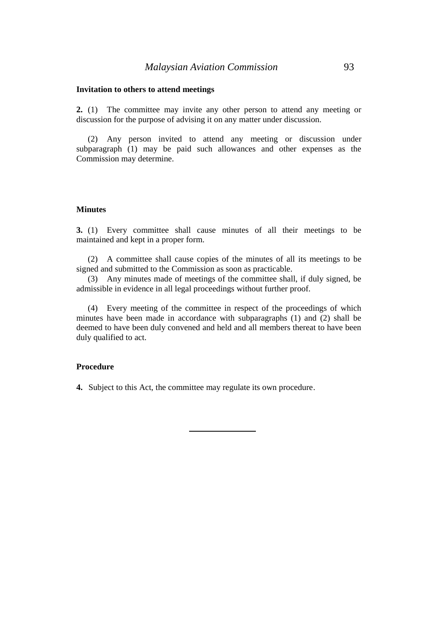### **Invitation to others to attend meetings**

**2.** (1) The committee may invite any other person to attend any meeting or discussion for the purpose of advising it on any matter under discussion.

(2) Any person invited to attend any meeting or discussion under subparagraph (1) may be paid such allowances and other expenses as the Commission may determine.

#### **Minutes**

**3.** (1) Every committee shall cause minutes of all their meetings to be maintained and kept in a proper form.

(2) A committee shall cause copies of the minutes of all its meetings to be signed and submitted to the Commission as soon as practicable.

(3) Any minutes made of meetings of the committee shall, if duly signed, be admissible in evidence in all legal proceedings without further proof.

(4) Every meeting of the committee in respect of the proceedings of which minutes have been made in accordance with subparagraphs (1) and (2) shall be deemed to have been duly convened and held and all members thereat to have been duly qualified to act.

### **Procedure**

**4.** Subject to this Act, the committee may regulate its own procedure.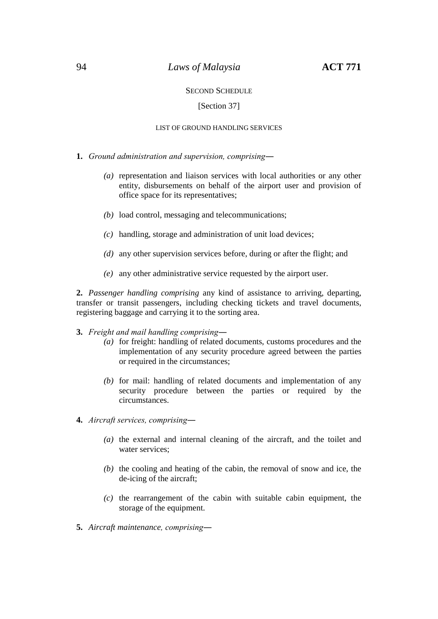### 94 *Laws of Malaysia* **ACT 771**

### SECOND SCHEDULE

### [Section 37]

#### LIST OF GROUND HANDLING SERVICES

- **1.** *Ground administration and supervision, comprising―*
	- *(a)* representation and liaison services with local authorities or any other entity, disbursements on behalf of the airport user and provision of office space for its representatives;
	- *(b)* load control, messaging and telecommunications;
	- *(c)* handling, storage and administration of unit load devices;
	- *(d)* any other supervision services before, during or after the flight; and
	- *(e)* any other administrative service requested by the airport user.

**2.** *Passenger handling comprising* any kind of assistance to arriving, departing, transfer or transit passengers, including checking tickets and travel documents, registering baggage and carrying it to the sorting area.

- **3.** *Freight and mail handling comprising―*
	- *(a)* for freight: handling of related documents, customs procedures and the implementation of any security procedure agreed between the parties or required in the circumstances;
	- *(b)* for mail: handling of related documents and implementation of any security procedure between the parties or required by the circumstances.
- **4.** *Aircraft services, comprising―*
	- *(a)* the external and internal cleaning of the aircraft, and the toilet and water services;
	- *(b)* the cooling and heating of the cabin, the removal of snow and ice, the de-icing of the aircraft;
	- *(c)* the rearrangement of the cabin with suitable cabin equipment, the storage of the equipment.
- **5.** *Aircraft maintenance, comprising―*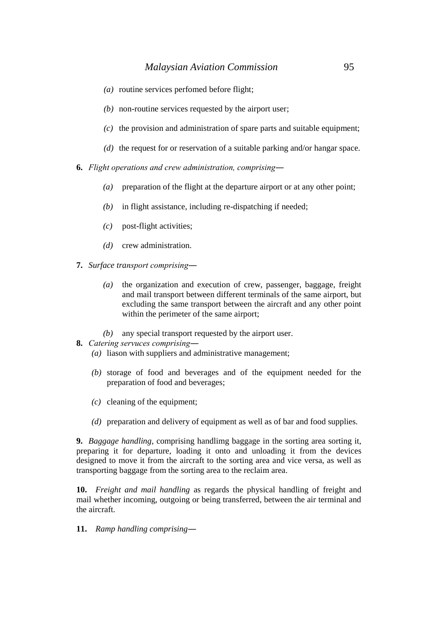- *(a)* routine services perfomed before flight;
- *(b)* non-routine services requested by the airport user;
- *(c)* the provision and administration of spare parts and suitable equipment;
- *(d)* the request for or reservation of a suitable parking and/or hangar space.
- **6.** *Flight operations and crew administration, comprising―*
	- *(a)* preparation of the flight at the departure airport or at any other point;
	- *(b)* in flight assistance, including re-dispatching if needed;
	- *(c)* post-flight activities;
	- *(d)* crew administration.
- **7.** *Surface transport comprising―*
	- *(a)* the organization and execution of crew, passenger, baggage, freight and mail transport between different terminals of the same airport, but excluding the same transport between the aircraft and any other point within the perimeter of the same airport;
	- *(b)* any special transport requested by the airport user.
- **8.** *Catering servuces comprising―*
	- *(a)* liason with suppliers and administrative management;
	- *(b)* storage of food and beverages and of the equipment needed for the preparation of food and beverages;
	- *(c)* cleaning of the equipment;
	- *(d)* preparation and delivery of equipment as well as of bar and food supplies.

**9.** *Baggage handling*, comprising handlimg baggage in the sorting area sorting it, preparing it for departure, loading it onto and unloading it from the devices designed to move it from the aircraft to the sorting area and vice versa, as well as transporting baggage from the sorting area to the reclaim area.

**10.** *Freight and mail handling* as regards the physical handling of freight and mail whether incoming, outgoing or being transferred, between the air terminal and the aircraft.

**11.** *Ramp handling comprising*―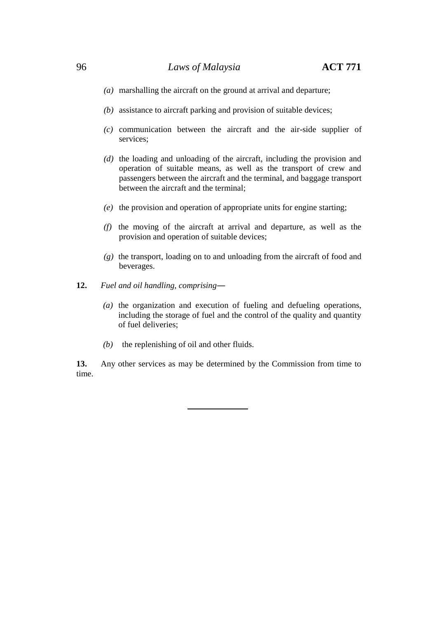### 96 *Laws of Malaysia* **ACT 771**

- *(a)* marshalling the aircraft on the ground at arrival and departure;
- *(b)* assistance to aircraft parking and provision of suitable devices;
- *(c)* communication between the aircraft and the air-side supplier of services;
- *(d)* the loading and unloading of the aircraft, including the provision and operation of suitable means, as well as the transport of crew and passengers between the aircraft and the terminal, and baggage transport between the aircraft and the terminal;
- *(e)* the provision and operation of appropriate units for engine starting;
- *(f)* the moving of the aircraft at arrival and departure, as well as the provision and operation of suitable devices;
- *(g)* the transport, loading on to and unloading from the aircraft of food and beverages.
- **12.** *Fuel and oil handling, comprising*―
	- *(a)* the organization and execution of fueling and defueling operations, including the storage of fuel and the control of the quality and quantity of fuel deliveries;
	- *(b)* the replenishing of oil and other fluids.

**13.** Any other services as may be determined by the Commission from time to time.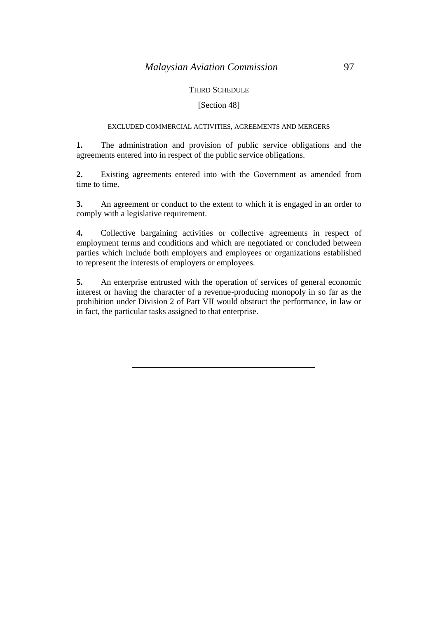### THIRD SCHEDULE

### [Section 48]

### EXCLUDED COMMERCIAL ACTIVITIES, AGREEMENTS AND MERGERS

**1.** The administration and provision of public service obligations and the agreements entered into in respect of the public service obligations.

**2.** Existing agreements entered into with the Government as amended from time to time.

**3.** An agreement or conduct to the extent to which it is engaged in an order to comply with a legislative requirement.

**4.** Collective bargaining activities or collective agreements in respect of employment terms and conditions and which are negotiated or concluded between parties which include both employers and employees or organizations established to represent the interests of employers or employees.

**5.** An enterprise entrusted with the operation of services of general economic interest or having the character of a revenue-producing monopoly in so far as the prohibition under Division 2 of Part VII would obstruct the performance, in law or in fact, the particular tasks assigned to that enterprise.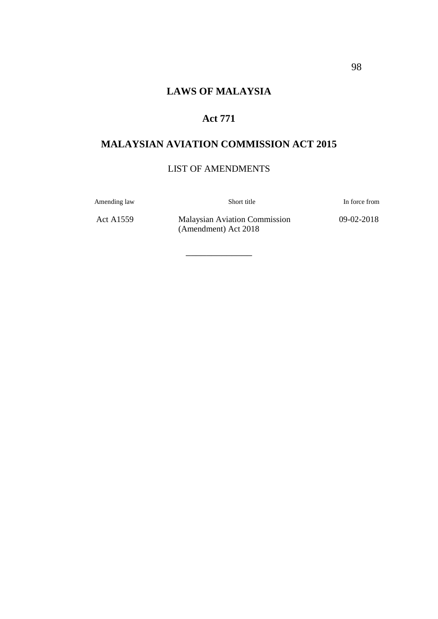# **Act 771**

# **MALAYSIAN AVIATION COMMISSION ACT 2015**

## LIST OF AMENDMENTS

\_\_\_\_\_\_\_\_\_\_\_\_\_

Amending law Short title In force from

Act A1559 Malaysian Aviation Commission (Amendment) Act 2018

09-02-2018